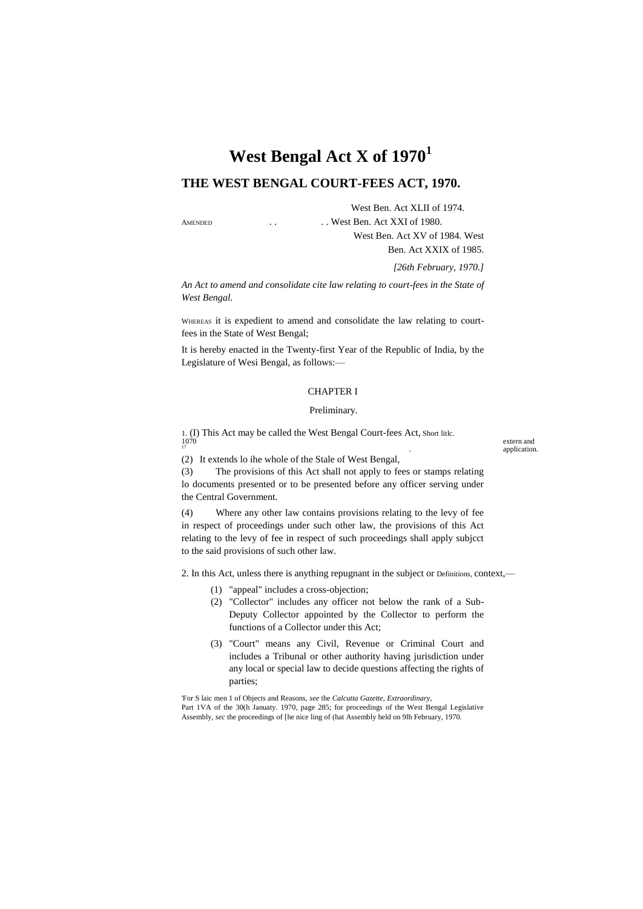# **West Bengal Act X of 1970<sup>1</sup>**

# **THE WEST BENGAL COURT-FEES ACT, 1970.**

West Ben. Act XLII of 1974. AMENDED . . . . . . . . . . . . West Ben. Act XXI of 1980.

> West Ben. Act XV of 1984. West Ben. Act XXIX of 1985.

> > *[26th February, 1970.]*

*An Act to amend and consolidate cite law relating to court-fees in the State of West Bengal.*

WHEREAS it is expedient to amend and consolidate the law relating to courtfees in the State of West Bengal;

It is hereby enacted in the Twenty-first Year of the Republic of India, by the Legislature of Wesi Bengal, as follows:—

#### CHAPTER I

#### Preliminary.

1. (I) This Act may be called the West Bengal Court-fees Act, Short litle.<br>
170 extern and<br>
171 explication

. application.

(2) It extends lo ihe whole of the Stale of West Bengal,

(3) The provisions of this Act shall not apply to fees or stamps relating lo documents presented or to be presented before any officer serving under the Central Government.

(4) Where any other law contains provisions relating to the levy of fee in respect of proceedings under such other law, the provisions of this Act relating to the levy of fee in respect of such proceedings shall apply subjcct to the said provisions of such other law.

2. In this Act, unless there is anything repugnant in the subject or Definitions, context,—

- (1) "appeal" includes a cross-objection;
- (2) "Collector" includes any officer not below the rank of a Sub-Deputy Collector appointed by the Collector to perform the functions of a Collector under this Act;
- (3) "Court" means any Civil, Revenue or Criminal Court and includes a Tribunal or other authority having jurisdiction under any local or special law to decide questions affecting the rights of parties;

'For S laic men 1 of Objects and Reasons, *see* the *Calcutta Gazette, Extraordinary,* Part 1VA of the 30(h Januaty. 1970, page 285; for proceedings of the West Bengal Legislative Assembly, *sec* the proceedings of [he nice ling of (hat Assembly held on 9lh February, 1970.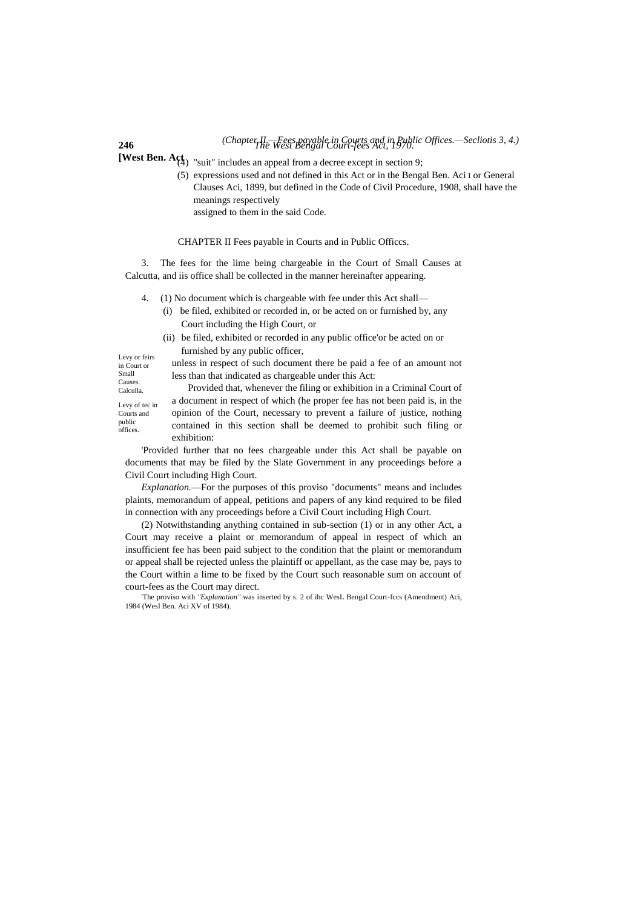# **246** *The West Bengal Court-fees Act, 1970. (Chapter II.—Fees payable in Courts and in Public Offices.—Secliotis 3, 4.)*

**[West Ben. Act**  $\mathbf{A}_{(4)}^{\text{ct}}$  "suit" includes an appeal from a decree except in section 9;

(5) expressions used and not defined in this Act or in the Bengal Ben. Aci I or General Clauses Aci, 1899, but defined in the Code of Civil Procedure, 1908, shall have the meanings respectively assigned to them in the said Code.

#### CHAPTER II Fees payable in Courts and in Public Officcs.

3. The fees for the lime being chargeable in the Court of Small Causes at Calcutta, and iis office shall be collected in the manner hereinafter appearing.

- 4. (1) No document which is chargeable with fee under this Act shall—
	- (i) be filed, exhibited or recorded in, or be acted on or furnished by, any Court including the High Court, or
	- (ii) be filed, exhibited or recorded in any public office'or be acted on or furnished by any public officer,

Levy or feirs in Court or Small **Causes** Calculla.

Levy of tec in Courts and public offices.

unless in respect of such document there be paid a fee of an amount not less than that indicated as chargeable under this Act:

Provided that, whenever the filing or exhibition in a Criminal Court of a document in respect of which (he proper fee has not been paid is, in the opinion of the Court, necessary to prevent a failure of justice, nothing contained in this section shall be deemed to prohibit such filing or exhibition:

'Provided further that no fees chargeable under this Act shall be payable on documents that may be filed by the Slate Government in any proceedings before a Civil Court including High Court.

*Explanation.*—For the purposes of this proviso "documents" means and includes plaints, memorandum of appeal, petitions and papers of any kind required to be filed in connection with any proceedings before a Civil Court including High Court.

(2) Notwithstanding anything contained in sub-section (1) or in any other Act, a Court may receive a plaint or memorandum of appeal in respect of which an insufficient fee has been paid subject to the condition that the plaint or memorandum or appeal shall be rejected unless the plaintiff or appellant, as the case may be, pays to the Court within a lime to be fixed by the Court such reasonable sum on account of court-fees as the Court may direct.

'The proviso with *"Explanation"* was inserted by s. 2 of ihc WesL Bengal Court-fccs (Amendment) Aci, 1984 (Wesl Ben. Aci XV of 1984).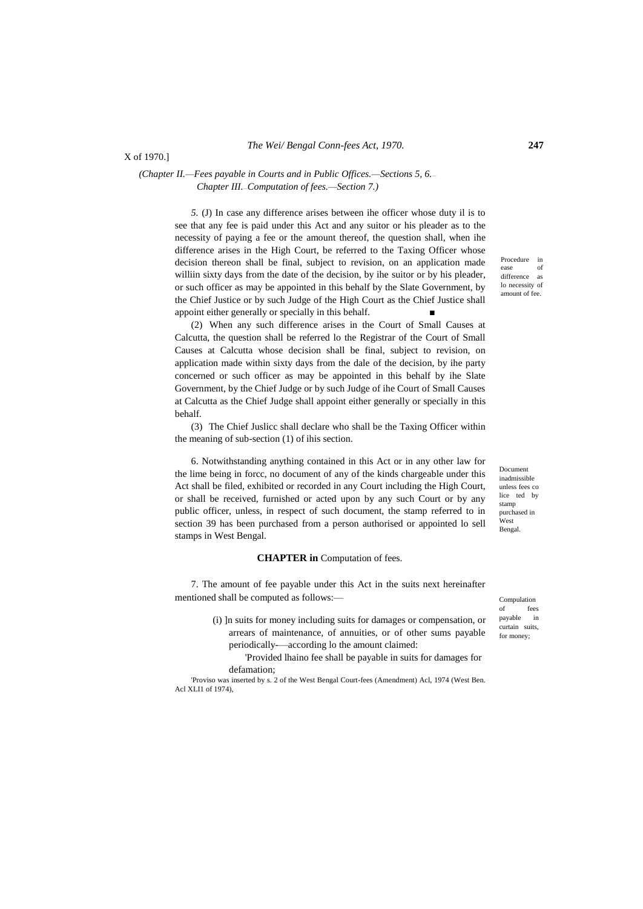# *(Chapter II.—Fees payable in Courts and in Public Offices.—Sections 5, 6.*— *Chapter III.*—*Computation of fees.—Section 7.)*

*5.* (J) In case any difference arises between ihe officer whose duty il is to see that any fee is paid under this Act and any suitor or his pleader as to the necessity of paying a fee or the amount thereof, the question shall, when ihe difference arises in the High Court, be referred to the Taxing Officer whose decision thereon shall be final, subject to revision, on an application made williin sixty days from the date of the decision, by ihe suitor or by his pleader, or such officer as may be appointed in this behalf by the Slate Government, by the Chief Justice or by such Judge of the High Court as the Chief Justice shall appoint either generally or specially in this behalf.

(2) When any such difference arises in the Court of Small Causes at Calcutta, the question shall be referred lo the Registrar of the Court of Small Causes at Calcutta whose decision shall be final, subject to revision, on application made within sixty days from the dale of the decision, by ihe party concerned or such officer as may be appointed in this behalf by ihe Slate Government, by the Chief Judge or by such Judge of ihe Court of Small Causes at Calcutta as the Chief Judge shall appoint either generally or specially in this behalf.

(3) The Chief Juslicc shall declare who shall be the Taxing Officer within the meaning of sub-section (1) of ihis section.

6. Notwithstanding anything contained in this Act or in any other law for the lime being in forcc, no document of any of the kinds chargeable under this Act shall be filed, exhibited or recorded in any Court including the High Court, or shall be received, furnished or acted upon by any such Court or by any public officer, unless, in respect of such document, the stamp referred to in section 39 has been purchased from a person authorised or appointed lo sell stamps in West Bengal.

#### **CHAPTER in** Computation of fees.

7. The amount of fee payable under this Act in the suits next hereinafter mentioned shall be computed as follows:—

> (i) ]n suits for money including suits for damages or compensation, or arrears of maintenance, of annuities, or of other sums payable periodically-—according lo the amount claimed:

'Provided lhaino fee shall be payable in suits for damages for defamation;

'Proviso was inserted by s. 2 of the West Bengal Court-fees (Amendment) Acl, 1974 (West Ben. Acl XLI1 of 1974),

Procedure in ease of difference as lo necessity of amount of fee.

Documen inadmissible unless fees co lice ted by stamp purchased in West Bengal.

Compulation of fees payable in curtain suits, for money;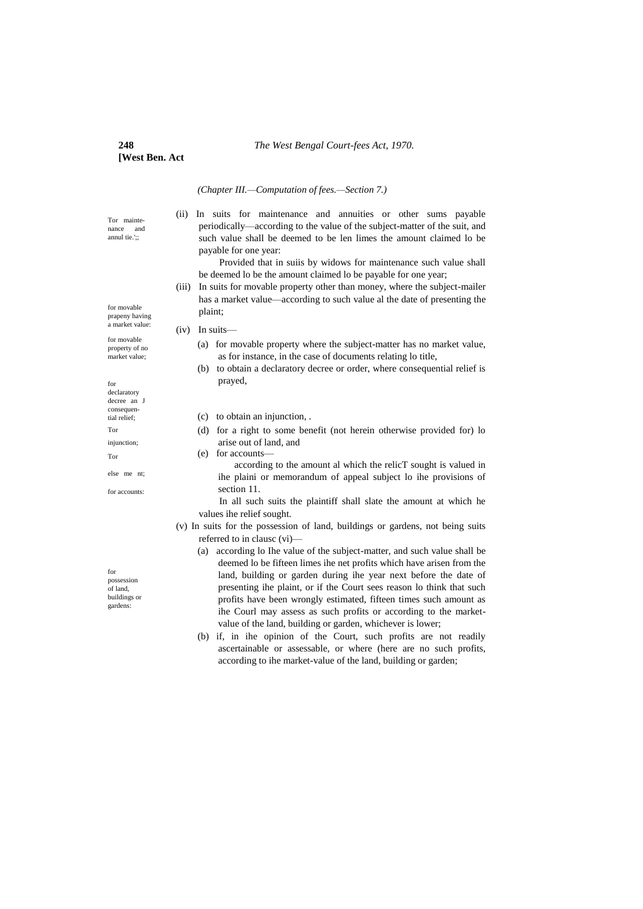#### **248** *The West Bengal Court-fees Act, 1970.*

# **[West Ben. Act**

*(Chapter III.—Computation of fees.—Section 7.)*

Tor maintenance and annul tie.';;

(ii) In suits for maintenance and annuities or other sums payable periodically—according to the value of the subject-matter of the suit, and such value shall be deemed to be len limes the amount claimed lo be payable for one year:

Provided that in suiis by widows for maintenance such value shall be deemed lo be the amount claimed lo be payable for one year;

(iii) In suits for movable property other than money, where the subject-mailer has a market value—according to such value al the date of presenting the plaint;

## (iv) In suits—

- (a) for movable property where the subject-matter has no market value, as for instance, in the case of documents relating lo title,
- (b) to obtain a declaratory decree or order, where consequential relief is prayed,

(c) to obtain an injunction, .

(d) for a right to some benefit (not herein otherwise provided for) lo arise out of land, and

(e) for accounts—

according to the amount al which the relicT sought is valued in ihe plaini or memorandum of appeal subject lo ihe provisions of section 11.

In all such suits the plaintiff shall slate the amount at which he values ihe relief sought.

- (v) In suits for the possession of land, buildings or gardens, not being suits referred to in clausc (vi)—
	- (a) according lo Ihe value of the subject-matter, and such value shall be deemed lo be fifteen limes ihe net profits which have arisen from the land, building or garden during ihe year next before the date of presenting ihe plaint, or if the Court sees reason lo think that such profits have been wrongly estimated, fifteen times such amount as ihe Courl may assess as such profits or according to the marketvalue of the land, building or garden, whichever is lower;
	- (b) if, in ihe opinion of the Court, such profits are not readily ascertainable or assessable, or where (here are no such profits, according to ihe market-value of the land, building or garden;

for movable prapeny having a market value:

for movable property of no market value;

for declaratory decree an J consequential relief; Tor injunction; Tor

else me nt;

for accounts:

for possession of land, buildings or gardens: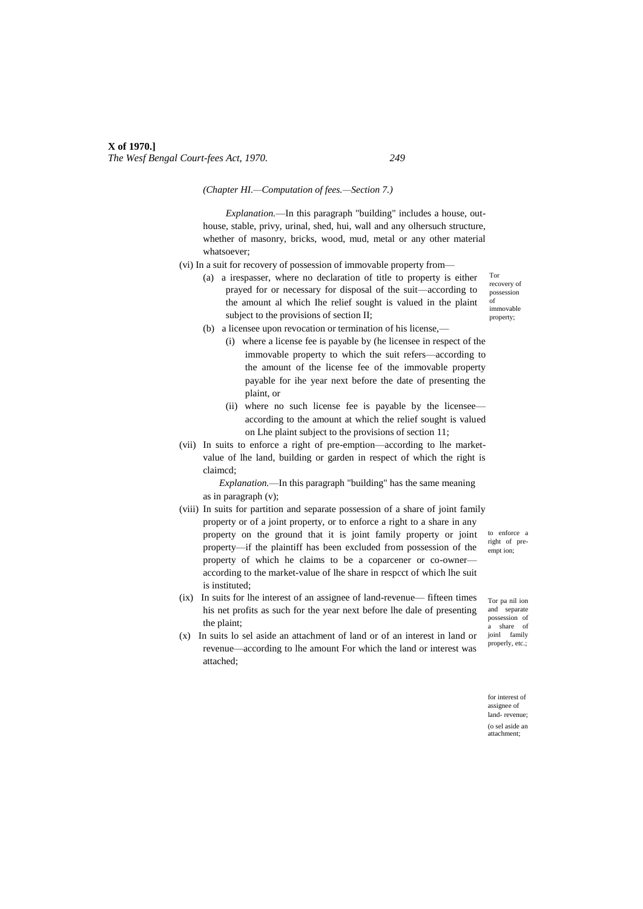*(Chapter HI.—Computation of fees.—Section 7.)*

*Explanation.*—In this paragraph "building" includes a house, outhouse, stable, privy, urinal, shed, hui, wall and any olhersuch structure, whether of masonry, bricks, wood, mud, metal or any other material whatsoever;

- (vi) In a suit for recovery of possession of immovable property from—
	- (a) a irespasser, where no declaration of title to property is either prayed for or necessary for disposal of the suit—according to the amount al which Ihe relief sought is valued in the plaint subject to the provisions of section II;

Tor recovery of possession of immovable property;

- (b) a licensee upon revocation or termination of his license,—
	- (i) where a license fee is payable by (he licensee in respect of the immovable property to which the suit refers—according to the amount of the license fee of the immovable property payable for ihe year next before the date of presenting the plaint, or
	- (ii) where no such license fee is payable by the licensee according to the amount at which the relief sought is valued on Lhe plaint subject to the provisions of section 11;
- (vii) In suits to enforce a right of pre-emption—according to lhe marketvalue of lhe land, building or garden in respect of which the right is claimcd;

*Explanation.*—In this paragraph "building" has the same meaning as in paragraph (v);

- (viii) In suits for partition and separate possession of a share of joint family property or of a joint property, or to enforce a right to a share in any property on the ground that it is joint family property or joint property—if the plaintiff has been excluded from possession of the property of which he claims to be a coparcener or co-owner according to the market-value of lhe share in respcct of which lhe suit is instituted;
- (ix) In suits for lhe interest of an assignee of land-revenue— fifteen times his net profits as such for the year next before lhe dale of presenting the plaint;
- (x) In suits lo sel aside an attachment of land or of an interest in land or revenue—according to lhe amount For which the land or interest was attached;

to enforce a right of preempt ion;

Tor pa nil ion and separate possession of share of joinl family properly, etc.;

for interest of assignee of land- revenue; (o sel aside an attachment;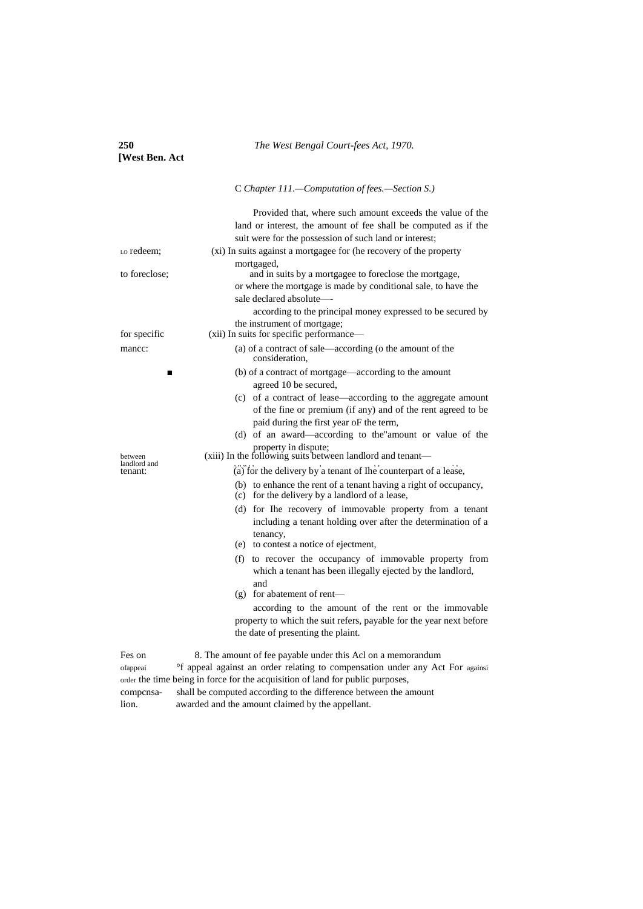| 250<br>[West Ben. Act                    | The West Bengal Court-fees Act, 1970.                                                                                                                                                                                                                                                                                                                                                                                                                                                                                                                                                                                                                                                                                                                                                                                                                                                                                                                                                                                                                                                                                   |  |
|------------------------------------------|-------------------------------------------------------------------------------------------------------------------------------------------------------------------------------------------------------------------------------------------------------------------------------------------------------------------------------------------------------------------------------------------------------------------------------------------------------------------------------------------------------------------------------------------------------------------------------------------------------------------------------------------------------------------------------------------------------------------------------------------------------------------------------------------------------------------------------------------------------------------------------------------------------------------------------------------------------------------------------------------------------------------------------------------------------------------------------------------------------------------------|--|
|                                          | C Chapter 111.—Computation of fees.—Section S.)                                                                                                                                                                                                                                                                                                                                                                                                                                                                                                                                                                                                                                                                                                                                                                                                                                                                                                                                                                                                                                                                         |  |
|                                          | Provided that, where such amount exceeds the value of the<br>land or interest, the amount of fee shall be computed as if the<br>suit were for the possession of such land or interest;                                                                                                                                                                                                                                                                                                                                                                                                                                                                                                                                                                                                                                                                                                                                                                                                                                                                                                                                  |  |
| Lo redeem;                               | (xi) In suits against a mortgagee for (he recovery of the property                                                                                                                                                                                                                                                                                                                                                                                                                                                                                                                                                                                                                                                                                                                                                                                                                                                                                                                                                                                                                                                      |  |
| to foreclose;                            | mortgaged,<br>and in suits by a mortgagee to foreclose the mortgage,<br>or where the mortgage is made by conditional sale, to have the<br>sale declared absolute-<br>according to the principal money expressed to be secured by                                                                                                                                                                                                                                                                                                                                                                                                                                                                                                                                                                                                                                                                                                                                                                                                                                                                                        |  |
| for specific                             | the instrument of mortgage;<br>(xii) In suits for specific performance-                                                                                                                                                                                                                                                                                                                                                                                                                                                                                                                                                                                                                                                                                                                                                                                                                                                                                                                                                                                                                                                 |  |
| mancc:                                   | (a) of a contract of sale—according (o the amount of the<br>consideration.                                                                                                                                                                                                                                                                                                                                                                                                                                                                                                                                                                                                                                                                                                                                                                                                                                                                                                                                                                                                                                              |  |
| ▬<br>between<br>landlord and<br>tenant:  | (b) of a contract of mortgage—according to the amount<br>agreed 10 be secured,<br>(c) of a contract of lease—according to the aggregate amount<br>of the fine or premium (if any) and of the rent agreed to be<br>paid during the first year oF the term,<br>(d) of an award—according to the amount or value of the<br>property in dispute;<br>(xiii) In the following suits between landlord and tenant—<br>(a) for the delivery by a tenant of Ihe counterpart of a lease,<br>(b) to enhance the rent of a tenant having a right of occupancy,<br>(c) for the delivery by a landlord of a lease,<br>(d) for Ihe recovery of immovable property from a tenant<br>including a tenant holding over after the determination of a<br>tenancy,<br>(e) to contest a notice of ejectment,<br>(f) to recover the occupancy of immovable property from<br>which a tenant has been illegally ejected by the landlord,<br>and<br>(g) for abatement of rent-<br>according to the amount of the rent or the immovable<br>property to which the suit refers, payable for the year next before<br>the date of presenting the plaint. |  |
| Fes on<br>ofappeai<br>compcnsa-<br>lion. | 8. The amount of fee payable under this Acl on a memorandum<br><sup>o</sup> f appeal against an order relating to compensation under any Act For againsi<br>order the time being in force for the acquisition of land for public purposes,<br>shall be computed according to the difference between the amount<br>awarded and the amount claimed by the appellant.                                                                                                                                                                                                                                                                                                                                                                                                                                                                                                                                                                                                                                                                                                                                                      |  |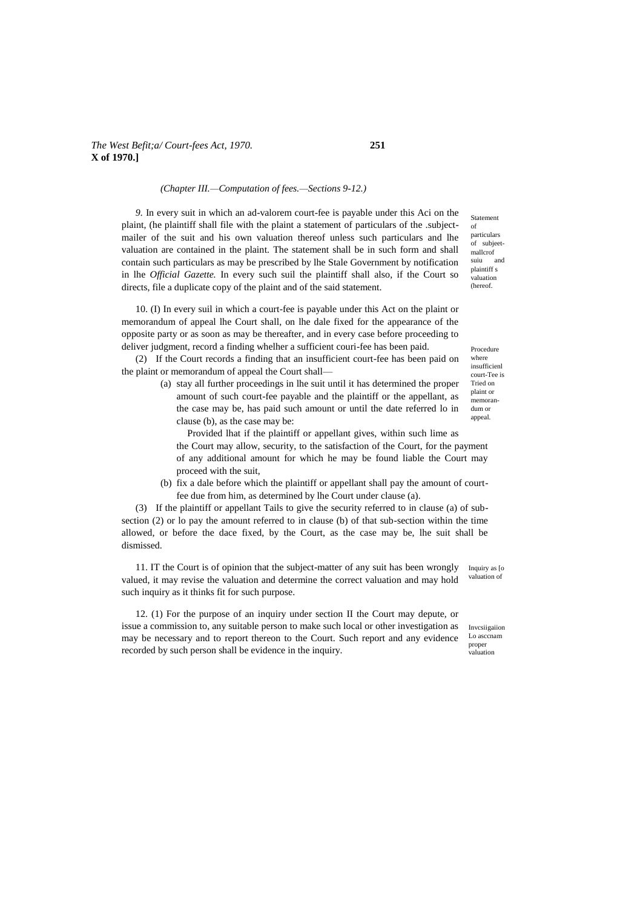#### *(Chapter III.—Computation of fees.—Sections 9-12.)*

*9.* In every suit in which an ad-valorem court-fee is payable under this Aci on the plaint, (he plaintiff shall file with the plaint a statement of particulars of the .subjectmailer of the suit and his own valuation thereof unless such particulars and lhe valuation are contained in the plaint. The statement shall be in such form and shall contain such particulars as may be prescribed by lhe Stale Government by notification in lhe *Official Gazette.* In every such suil the plaintiff shall also, if the Court so directs, file a duplicate copy of the plaint and of the said statement.

10. (I) In every suil in which a court-fee is payable under this Act on the plaint or memorandum of appeal lhe Court shall, on lhe dale fixed for the appearance of the opposite party or as soon as may be thereafter, and in every case before proceeding to deliver judgment, record a finding whelher a sufficient couri-fee has been paid.

(2) If the Court records a finding that an insufficient court-fee has been paid on the plaint or memorandum of appeal the Court shall—

> (a) stay all further proceedings in lhe suit until it has determined the proper amount of such court-fee payable and the plaintiff or the appellant, as the case may be, has paid such amount or until the date referred lo in clause (b), as the case may be:

Provided lhat if the plaintiff or appellant gives, within such lime as the Court may allow, security, to the satisfaction of the Court, for the payment of any additional amount for which he may be found liable the Court may proceed with the suit,

(b) fix a dale before which the plaintiff or appellant shall pay the amount of courtfee due from him, as determined by lhe Court under clause (a).

(3) If the plaintiff or appellant Tails to give the security referred to in clause (a) of subsection (2) or lo pay the amount referred to in clause (b) of that sub-section within the time allowed, or before the dace fixed, by the Court, as the case may be, lhe suit shall be dismissed.

Inquiry as [o valuation of 11. IT the Court is of opinion that the subject-matter of any suit has been wrongly valued, it may revise the valuation and determine the correct valuation and may hold such inquiry as it thinks fit for such purpose.

12. (1) For the purpose of an inquiry under section II the Court may depute, or issue a commission to, any suitable person to make such local or other investigation as may be necessary and to report thereon to the Court. Such report and any evidence recorded by such person shall be evidence in the inquiry.

particulars of subjeetmallcrof suiu and plaintiff s valuation (hereof.

Statement of

Procedure where insufficienl court-Tee is Tried on plaint or memorandum or appeal.

Invcsiigaiion Lo asccnam proper valuation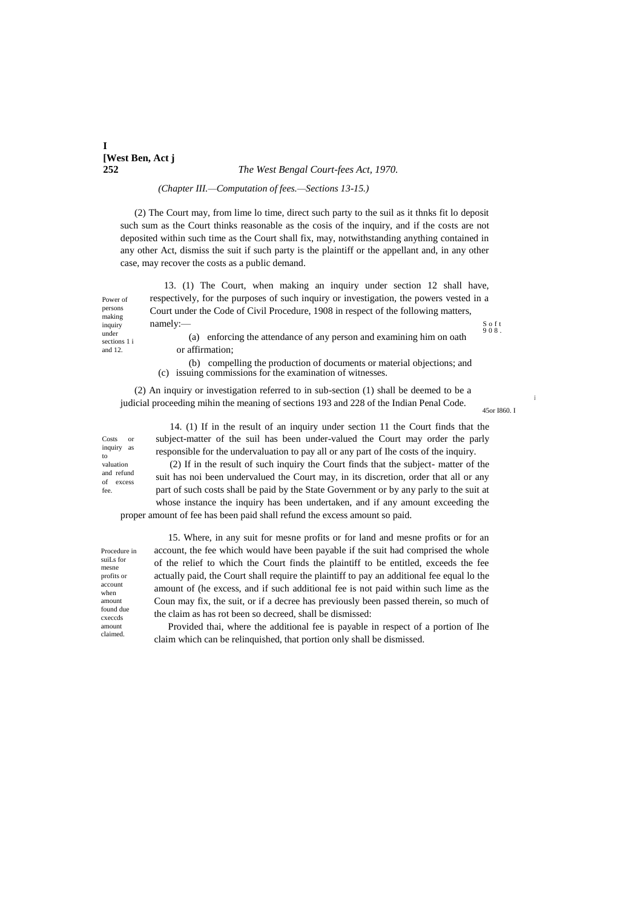# **I [West Ben, Act j**

#### **252** *The West Bengal Court-fees Act, 1970.*

*(Chapter III.—Computation of fees.—Sections 13-15.)*

(2) The Court may, from lime lo time, direct such party to the suil as it thnks fit lo deposit such sum as the Court thinks reasonable as the cosis of the inquiry, and if the costs are not deposited within such time as the Court shall fix, may, notwithstanding anything contained in any other Act, dismiss the suit if such party is the plaintiff or the appellant and, in any other case, may recover the costs as a public demand.

Power of persons making inquiry under 13. (1) The Court, when making an inquiry under section 12 shall have, respectively, for the purposes of such inquiry or investigation, the powers vested in a Court under the Code of Civil Procedure, 1908 in respect of the following matters, namely:— (a) enforcing the attendance of any person and examining him on oath

S o f t 9 0 8 .

sections 1 i and 12.

or affirmation;

(b) compelling the production of documents or material objections; and (c) issuing commissions for the examination of witnesses.

(2) An inquiry or investigation referred to in sub-section (1) shall be deemed to be a judicial proceeding mihin the meaning of sections 193 and 228 of the Indian Penal Code.

45or I860. I

i

Costs or inquiry as to valuation and refund of excess fee.

14. (1) If in the result of an inquiry under section 11 the Court finds that the subject-matter of the suil has been under-valued the Court may order the parly responsible for the undervaluation to pay all or any part of Ihe costs of the inquiry. (2) If in the result of such inquiry the Court finds that the subject- matter of the

suit has noi been undervalued the Court may, in its discretion, order that all or any part of such costs shall be paid by the State Government or by any parly to the suit at whose instance the inquiry has been undertaken, and if any amount exceeding the proper amount of fee has been paid shall refund the excess amount so paid.

Procedure in suiLs for mesne profits or account when amount found due cxeccds amount claimed

15. Where, in any suit for mesne profits or for land and mesne profits or for an account, the fee which would have been payable if the suit had comprised the whole of the relief to which the Court finds the plaintiff to be entitled, exceeds the fee actually paid, the Court shall require the plaintiff to pay an additional fee equal lo the amount of (he excess, and if such additional fee is not paid within such lime as the Coun may fix, the suit, or if a decree has previously been passed therein, so much of the claim as has rot been so decreed, shall be dismissed:

Provided thai, where the additional fee is payable in respect of a portion of Ihe claim which can be relinquished, that portion only shall be dismissed.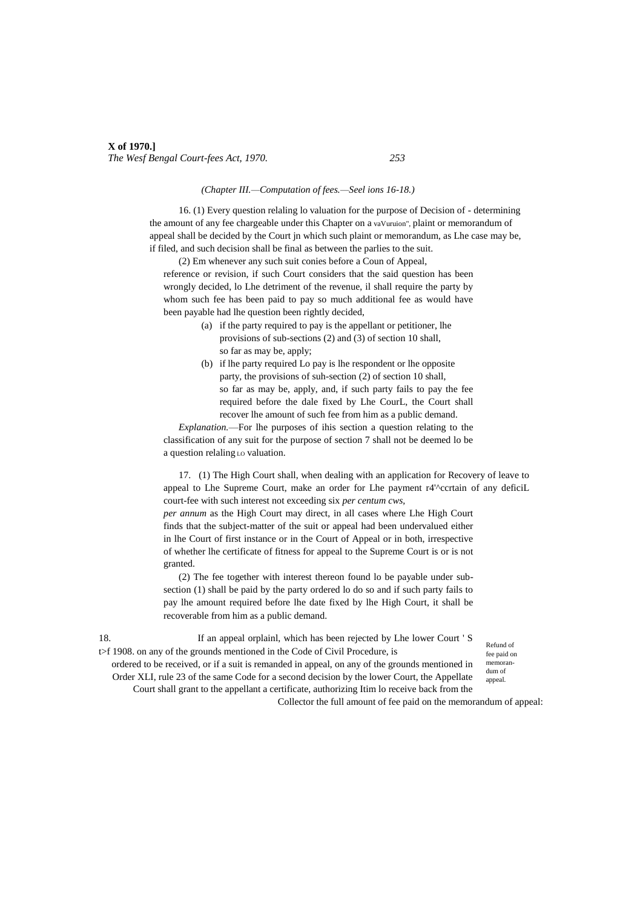#### *(Chapter III.—Computation of fees.—Seel ions 16-18.)*

16. (1) Every question relaling lo valuation for the purpose of Decision of - determining the amount of any fee chargeable under this Chapter on a vaVuruion", plaint or memorandum of appeal shall be decided by the Court jn which such plaint or memorandum, as Lhe case may be, if filed, and such decision shall be final as between the parlies to the suit.

(2) Em whenever any such suit conies before a Coun of Appeal, reference or revision, if such Court considers that the said question has been wrongly decided, lo Lhe detriment of the revenue, il shall require the party by whom such fee has been paid to pay so much additional fee as would have been payable had lhe question been rightly decided,

- (a) if the party required to pay is the appellant or petitioner, lhe provisions of sub-sections (2) and (3) of section 10 shall, so far as may be, apply;
- (b) if lhe party required Lo pay is lhe respondent or lhe opposite party, the provisions of suh-section (2) of section 10 shall, so far as may be, apply, and, if such party fails to pay the fee required before the dale fixed by Lhe CourL, the Court shall recover lhe amount of such fee from him as a public demand.

*Explanation.*—For lhe purposes of ihis section a question relating to the classification of any suit for the purpose of section 7 shall not be deemed lo be a question relaling Lo valuation.

17. (1) The High Court shall, when dealing with an application for Recovery of leave to appeal to Lhe Supreme Court, make an order for Lhe payment r4<sup>'</sup>^ccrtain of any deficiL court-fee with such interest not exceeding six *per centum cws,*

*per annum* as the High Court may direct, in all cases where Lhe High Court finds that the subject-matter of the suit or appeal had been undervalued either in lhe Court of first instance or in the Court of Appeal or in both, irrespective of whether lhe certificate of fitness for appeal to the Supreme Court is or is not granted.

(2) The fee together with interest thereon found lo be payable under subsection (1) shall be paid by the party ordered lo do so and if such party fails to pay lhe amount required before lhe date fixed by lhe High Court, it shall be recoverable from him as a public demand.

18. If an appeal orplainl, which has been rejected by Lhe lower Court ' S t>f 1908. on any of the grounds mentioned in the Code of Civil Procedure, is

Refund of fee paid on memorandum of appeal.

ordered to be received, or if a suit is remanded in appeal, on any of the grounds mentioned in Order XLI, rule 23 of the same Code for a second decision by the lower Court, the Appellate Court shall grant to the appellant a certificate, authorizing Itim lo receive back from the

Collector the full amount of fee paid on the memorandum of appeal: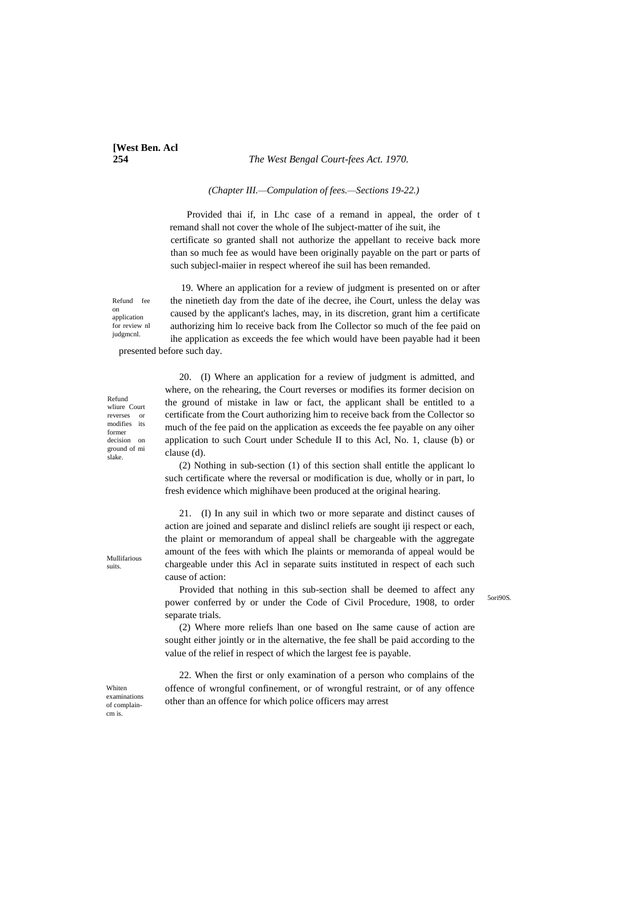# **[West Ben. Acl**]

**254** *The West Bengal Court-fees Act. 1970.*

#### *(Chapter III.—Compulation of fees.—Sections 19-22.)*

Provided thai if, in Lhc case of a remand in appeal, the order of t remand shall not cover the whole of Ihe subject-matter of ihe suit, ihe certificate so granted shall not authorize the appellant to receive back more than so much fee as would have been originally payable on the part or parts of such subjecl-maiier in respect whereof ihe suil has been remanded.

19. Where an application for a review of judgment is presented on or after the ninetieth day from the date of ihe decree, ihe Court, unless the delay was caused by the applicant's laches, may, in its discretion, grant him a certificate authorizing him lo receive back from Ihe Collector so much of the fee paid on ihe application as exceeds the fee which would have been payable had it been presented before such day.

Refund wliure Court reverses or<br>modifies its modifies former decision on ground of mi slake.

Refund fee on application for review nl judgmcnl.

> 20. (I) Where an application for a review of judgment is admitted, and where, on the rehearing, the Court reverses or modifies its former decision on the ground of mistake in law or fact, the applicant shall be entitled to a certificate from the Court authorizing him to receive back from the Collector so much of the fee paid on the application as exceeds the fee payable on any oiher application to such Court under Schedule II to this Acl, No. 1, clause (b) or clause (d).

> (2) Nothing in sub-section (1) of this section shall entitle the applicant lo such certificate where the reversal or modification is due, wholly or in part, lo fresh evidence which mighihave been produced at the original hearing.

> 21. (I) In any suil in which two or more separate and distinct causes of action are joined and separate and dislincl reliefs are sought iji respect or each, the plaint or memorandum of appeal shall be chargeable with the aggregate amount of the fees with which Ihe plaints or memoranda of appeal would be chargeable under this Acl in separate suits instituted in respect of each such cause of action:

> Provided that nothing in this sub-section shall be deemed to affect any power conferred by or under the Code of Civil Procedure, 1908, to order separate trials.

5ori90S.

(2) Where more reliefs lhan one based on Ihe same cause of action are sought either jointly or in the alternative, the fee shall be paid according to the value of the relief in respect of which the largest fee is payable.

22. When the first or only examination of a person who complains of the offence of wrongful confinement, or of wrongful restraint, or of any offence other than an offence for which police officers may arrest

Whiten examinations of complaincm is.

Mullifarious suits.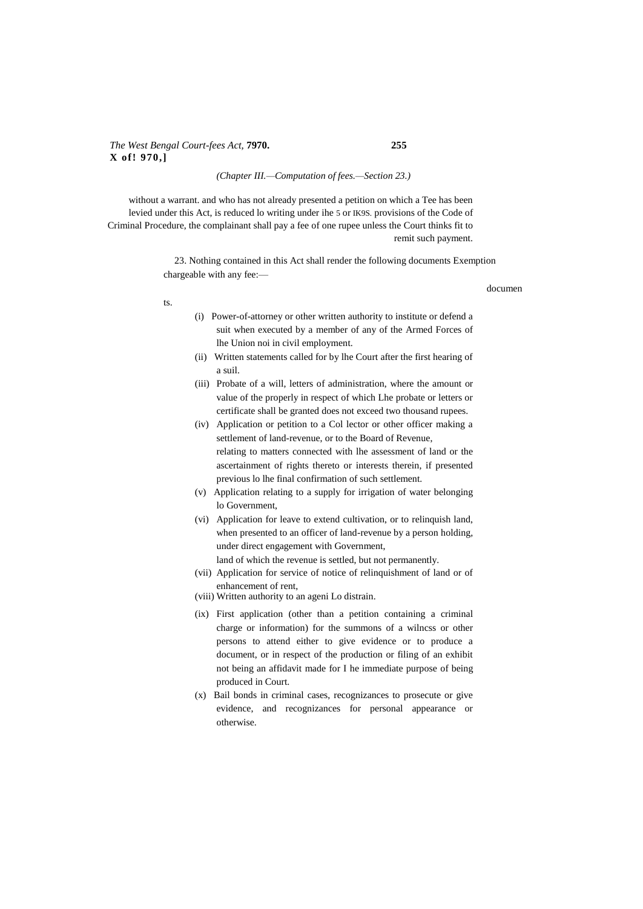## *The West Bengal Court-fees Act,* **7970. 255 X of! 970,]**

#### *(Chapter III.—Computation of fees.—Section 23.)*

without a warrant. and who has not already presented a petition on which a Tee has been levied under this Act, is reduced lo writing under ihe 5 or IK9S. provisions of the Code of Criminal Procedure, the complainant shall pay a fee of one rupee unless the Court thinks fit to remit such payment.

> 23. Nothing contained in this Act shall render the following documents Exemption chargeable with any fee:—

> > documen

ts.

- (i) Power-of-attorney or other written authority to institute or defend a suit when executed by a member of any of the Armed Forces of lhe Union noi in civil employment.
- (ii) Written statements called for by lhe Court after the first hearing of a suil.
- (iii) Probate of a will, letters of administration, where the amount or value of the properly in respect of which Lhe probate or letters or certificate shall be granted does not exceed two thousand rupees.
- (iv) Application or petition to a Col lector or other officer making a settlement of land-revenue, or to the Board of Revenue, relating to matters connected with lhe assessment of land or the ascertainment of rights thereto or interests therein, if presented previous lo lhe final confirmation of such settlement.
- (v) Application relating to a supply for irrigation of water belonging lo Government,
- (vi) Application for leave to extend cultivation, or to relinquish land, when presented to an officer of land-revenue by a person holding, under direct engagement with Government,
	- land of which the revenue is settled, but not permanently.
- (vii) Application for service of notice of relinquishment of land or of enhancement of rent,
- (viii) Written authority to an ageni Lo distrain.
- (ix) First application (other than a petition containing a criminal charge or information) for the summons of a wilncss or other persons to attend either to give evidence or to produce a document, or in respect of the production or filing of an exhibit not being an affidavit made for I he immediate purpose of being produced in Court.
- (x) Bail bonds in criminal cases, recognizances to prosecute or give evidence, and recognizances for personal appearance or otherwise.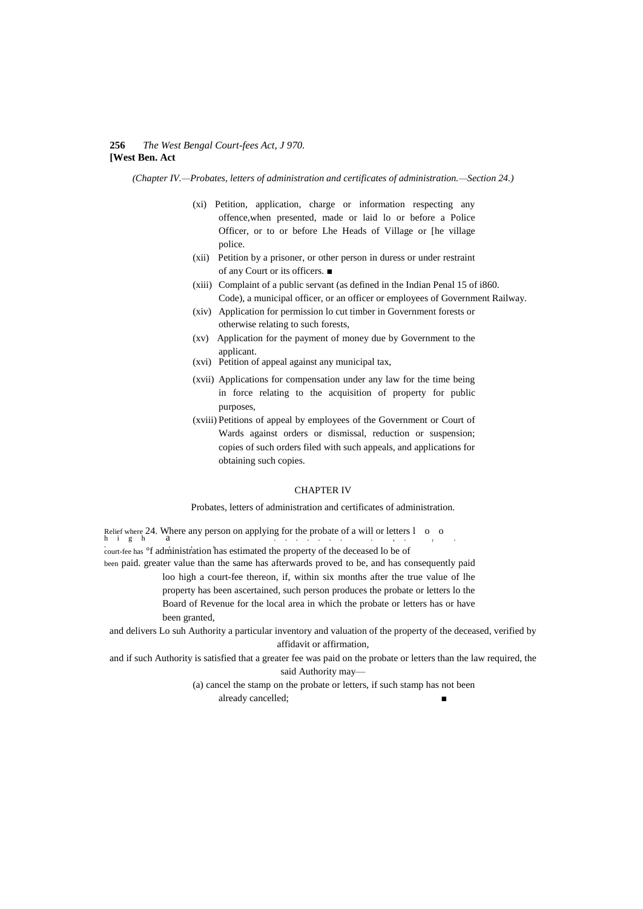#### **256** *The West Bengal Court-fees Act, J 970.* **[West Ben. Act**

*(Chapter IV.—Probates, letters of administration and certificates of administration.—Section 24.)*

- (xi) Petition, application, charge or information respecting any offence,when presented, made or laid lo or before a Police Officer, or to or before Lhe Heads of Village or [he village police.
- (xii) Petition by a prisoner, or other person in duress or under restraint of any Court or its officers. ■
- (xiii) Complaint of a public servant (as defined in the Indian Penal 15 of i860. Code), a municipal officer, or an officer or employees of Government Railway.
- (xiv) Application for permission lo cut timber in Government forests or otherwise relating to such forests,
- (xv) Application for the payment of money due by Government to the applicant.
- (xvi) Petition of appeal against any municipal tax,
- (xvii) Applications for compensation under any law for the time being in force relating to the acquisition of property for public purposes,
- (xviii) Petitions of appeal by employees of the Government or Court of Wards against orders or dismissal, reduction or suspension; copies of such orders filed with such appeals, and applications for obtaining such copies.

#### CHAPTER IV

Probates, letters of administration and certificates of administration.

Relief where 24. Where any person on applying for the probate of a will or letters  $1 \quad o \quad o$ <br>h i g h  $a$ . , , <sup>r</sup> court-fee has °f administration has estimated the property of the deceased lo be of been paid. greater value than the same has afterwards proved to be, and has consequently paid loo high a court-fee thereon, if, within six months after the true value of lhe property has been ascertained, such person produces the probate or letters lo the Board of Revenue for the local area in which the probate or letters has or have been granted,

and delivers Lo suh Authority a particular inventory and valuation of the property of the deceased, verified by affidavit or affirmation,

and if such Authority is satisfied that a greater fee was paid on the probate or letters than the law required, the said Authority may—

> (a) cancel the stamp on the probate or letters, if such stamp has not been already cancelled;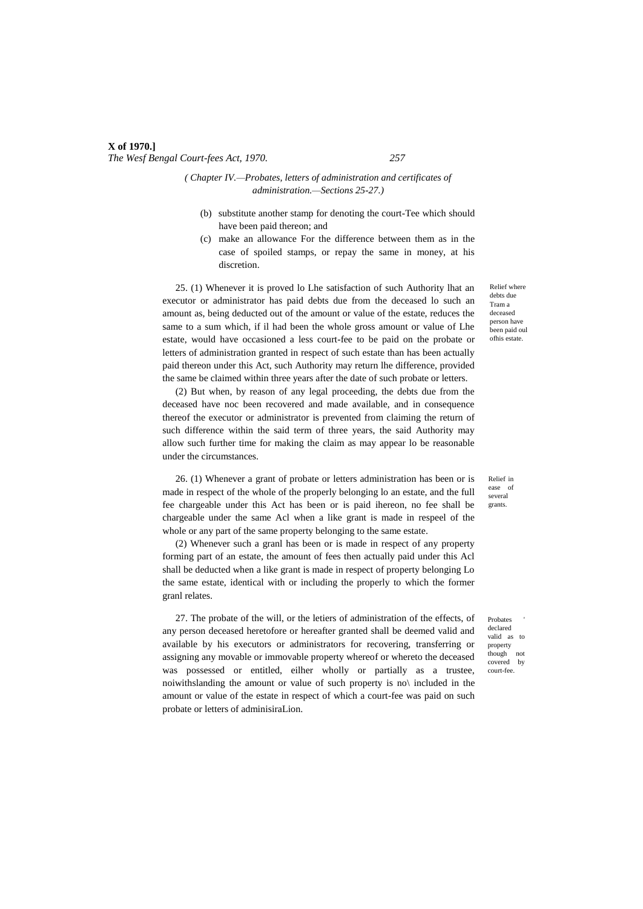## *( Chapter IV.—Probates, letters of administration and certificates of administration.—Sections 25-27.)*

- (b) substitute another stamp for denoting the court-Tee which should have been paid thereon; and
- (c) make an allowance For the difference between them as in the case of spoiled stamps, or repay the same in money, at his discretion.

25. (1) Whenever it is proved lo Lhe satisfaction of such Authority lhat an executor or administrator has paid debts due from the deceased lo such an amount as, being deducted out of the amount or value of the estate, reduces the same to a sum which, if il had been the whole gross amount or value of Lhe estate, would have occasioned a less court-fee to be paid on the probate or letters of administration granted in respect of such estate than has been actually paid thereon under this Act, such Authority may return lhe difference, provided the same be claimed within three years after the date of such probate or letters.

(2) But when, by reason of any legal proceeding, the debts due from the deceased have noc been recovered and made available, and in consequence thereof the executor or administrator is prevented from claiming the return of such difference within the said term of three years, the said Authority may allow such further time for making the claim as may appear lo be reasonable under the circumstances.

26. (1) Whenever a grant of probate or letters administration has been or is made in respect of the whole of the properly belonging lo an estate, and the full fee chargeable under this Act has been or is paid ihereon, no fee shall be chargeable under the same Acl when a like grant is made in respeel of the whole or any part of the same property belonging to the same estate.

(2) Whenever such a granl has been or is made in respect of any property forming part of an estate, the amount of fees then actually paid under this Acl shall be deducted when a like grant is made in respect of property belonging Lo the same estate, identical with or including the properly to which the former granl relates.

27. The probate of the will, or the letiers of administration of the effects, of any person deceased heretofore or hereafter granted shall be deemed valid and available by his executors or administrators for recovering, transferring or assigning any movable or immovable property whereof or whereto the deceased was possessed or entitled, eilher wholly or partially as a trustee, noiwithslanding the amount or value of such property is no\ included in the amount or value of the estate in respect of which a court-fee was paid on such probate or letters of adminisiraLion.

Relief where debts due Tram a deceased person have been paid oul ofhis estate.

Relief in ease of several grants.

**Probates** declared valid as property though not covered by court-fee.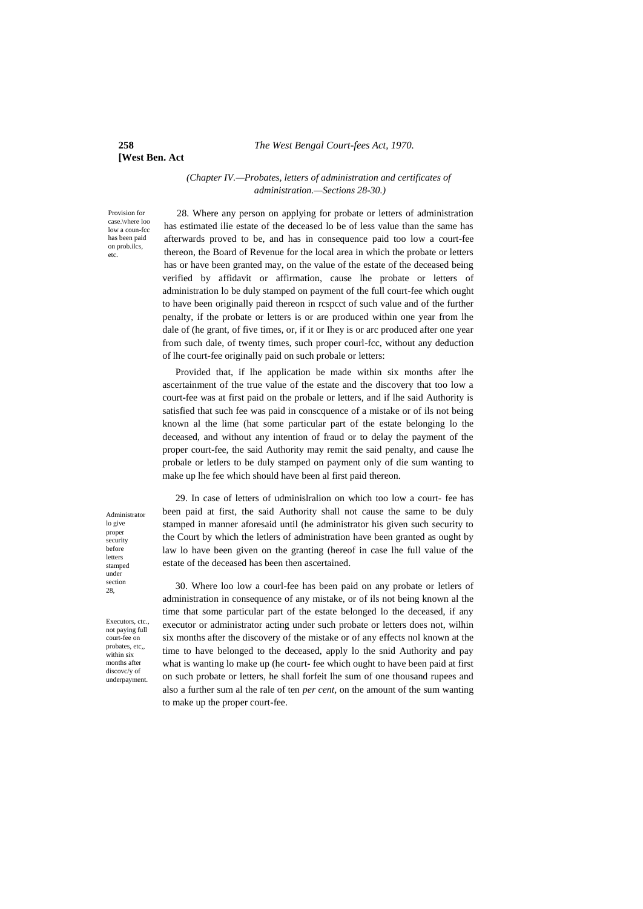#### **258** *The West Bengal Court-fees Act, 1970.*

# **[West Ben. Act**

#### *(Chapter IV.—Probates, letters of administration and certificates of administration.—Sections 28-30.)*

Provision for case.\vhere loo low a coun-fcc has been paid on prob.ilcs, etc.

28. Where any person on applying for probate or letters of administration has estimated ilie estate of the deceased lo be of less value than the same has afterwards proved to be, and has in consequence paid too low a court-fee thereon, the Board of Revenue for the local area in which the probate or letters has or have been granted may, on the value of the estate of the deceased being verified by affidavit or affirmation, cause lhe probate or letters of administration lo be duly stamped on payment of the full court-fee which ought to have been originally paid thereon in rcspcct of such value and of the further penalty, if the probate or letters is or are produced within one year from lhe dale of (he grant, of five times, or, if it or Ihey is or arc produced after one year from such dale, of twenty times, such proper courl-fcc, without any deduction of lhe court-fee originally paid on such probale or letters:

Provided that, if lhe application be made within six months after lhe ascertainment of the true value of the estate and the discovery that too low a court-fee was at first paid on the probale or letters, and if lhe said Authority is satisfied that such fee was paid in conscquence of a mistake or of ils not being known al the lime (hat some particular part of the estate belonging lo the deceased, and without any intention of fraud or to delay the payment of the proper court-fee, the said Authority may remit the said penalty, and cause lhe probale or letlers to be duly stamped on payment only of die sum wanting to make up lhe fee which should have been al first paid thereon.

Administrator lo give proper security before letters stamped under section 28,

Executors, ctc. not paying full court-fee on probates, etc,, within six months after discovc/y of underpayment.

29. In case of letters of udminislralion on which too low a court- fee has been paid at first, the said Authority shall not cause the same to be duly stamped in manner aforesaid until (he administrator his given such security to the Court by which the letlers of administration have been granted as ought by law lo have been given on the granting (hereof in case lhe full value of the estate of the deceased has been then ascertained.

30. Where loo low a courl-fee has been paid on any probate or letlers of administration in consequence of any mistake, or of ils not being known al the time that some particular part of the estate belonged lo the deceased, if any executor or administrator acting under such probate or letters does not, wilhin six months after the discovery of the mistake or of any effects nol known at the time to have belonged to the deceased, apply lo the snid Authority and pay what is wanting lo make up (he court- fee which ought to have been paid at first on such probate or letters, he shall forfeit lhe sum of one thousand rupees and also a further sum al the rale of ten *per cent,* on the amount of the sum wanting to make up the proper court-fee.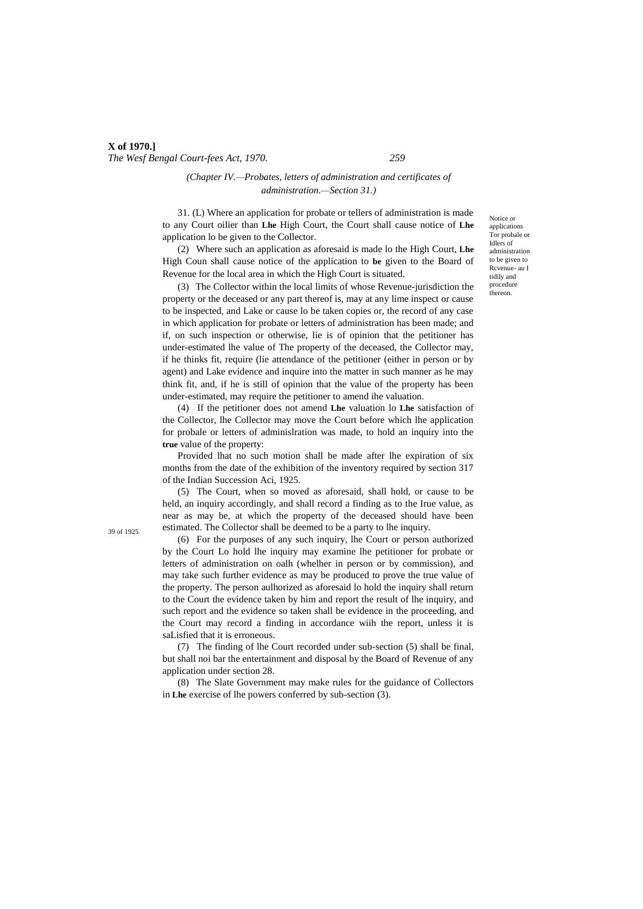### *(Chapter IV.—Probates, letters of administration and certificates of administration.—Section 31.)*

31. (L) Where an application for probate or tellers of administration is made to any Court oilier than **Lhe** High Court, the Court shall cause notice of **Lhe** application lo be given to the Collector.

(2) Where such an application as aforesaid is made lo the High Court, **Lhe** High Coun shall cause notice of the application to **be** given to the Board of Revenue for the local area in which the High Court is situated.

(3) The Collector within the local limits of whose Revenue-jurisdiction the property or the deceased or any part thereof is, may at any lime inspect or cause to be inspected, and Lake or cause lo be taken copies or, the record of any case in which application for probate or letters of administration has been made; and if, on such inspection or otherwise, lie is of opinion that the petitioner has under-estimated lhe value of The property of the deceased, the Collector may, if he thinks fit, require (lie attendance of the petitioner (either in person or by agent) and Lake evidence and inquire into the matter in such manner as he may think fit, and, if he is still of opinion that the value of the property has been under-estimated, may require the petitioner to amend ihe valuation.

(4) If the petitioner does not amend **Lhe** valuation lo **Lhe** satisfaction of the Collector, lhe Collector may move the Court before which lhe application for probale or letters of adminislration was made, to hold an inquiry into the **true** value of the property:

Provided lhat no such motion shall be made after lhe expiration of six months from the date of the exhibition of the inventory required by section 317 of the Indian Succession Aci, 1925.

(5) The Court, when so moved as aforesaid, shall hold, or cause to be held, an inquiry accordingly, and shall record a finding as to the Irue value, as near as may be, at which the property of the deceased should have been estimated. The Collector shall be deemed to be a party to lhe inquiry.

(6) For the purposes of any such inquiry, lhe Court or person authorized by the Court Lo hold lhe inquiry may examine lhe petitioner for probate or letters of administration on oalh (whelher in person or by commission), and may take such further evidence as may be produced to prove the true value of the property. The person aulhorized as aforesaid lo hold the inquiry shall return to the Court the evidence taken by him and report the result of lhe inquiry, and such report and the evidence so taken shall be evidence in the proceeding, and the Court may record a finding in accordance wiih the report, unless it is saLisfied that it is erroneous.

(7) The finding of lhe Court recorded under sub-section (5) shall be final, but shall noi bar the entertainment and disposal by the Board of Revenue of any application under section 28.

(8) The Slate Government may make rules for the guidance of Collectors in **Lhe** exercise of lhe powers conferred by sub-section (3).

Notice or applications Tor probale or Idlers of administration to be given to Rcvenue- au I tidily and procedure thereon.

39 of 1925.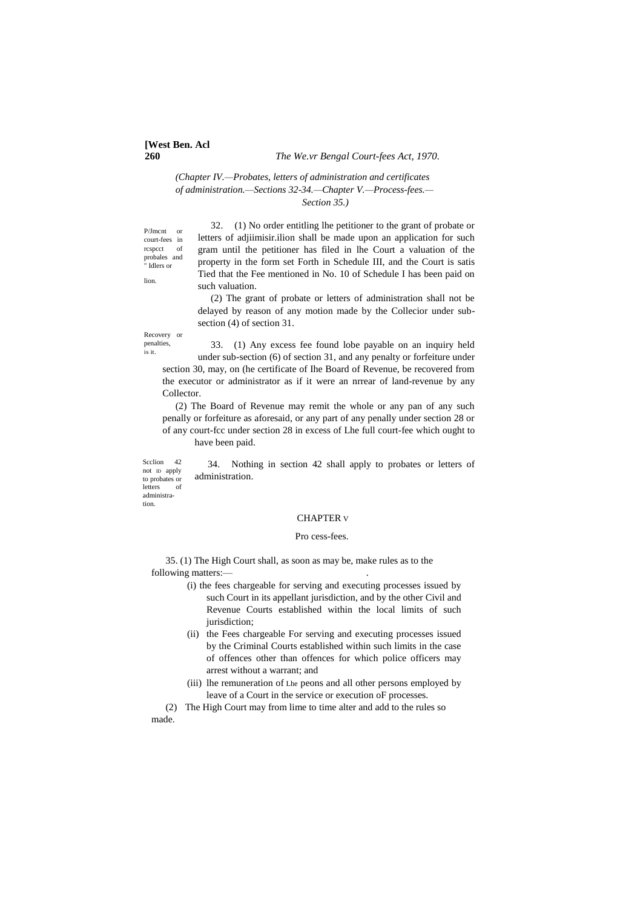# **[West Ben. Acl**

#### **260** *The We.vr Bengal Court-fees Act, 1970.*

### *(Chapter IV.—Probates, letters of administration and certificates of administration.—Sections 32-34.—Chapter V.—Process-fees.— Section 35.)*

P/Jmcnt or court-fees in rcspcct probales and " Idlers or

lion.

is it.

32. (1) No order entitling lhe petitioner to the grant of probate or letters of adjiimisir.ilion shall be made upon an application for such gram until the petitioner has filed in lhe Court a valuation of the property in the form set Forth in Schedule III, and the Court is satis Tied that the Fee mentioned in No. 10 of Schedule I has been paid on such valuation.

(2) The grant of probate or letters of administration shall not be delayed by reason of any motion made by the Collecior under subsection (4) of section 31.

Recovery or penalties, 33. (1) Any excess fee found lobe payable on an inquiry held under sub-section (6) of section 31, and any penalty or forfeiture under section 30, may, on (he certificate of Ihe Board of Revenue, be recovered from the executor or administrator as if it were an nrrear of land-revenue by any Collector.

(2) The Board of Revenue may remit the whole or any pan of any such penally or forfeiture as aforesaid, or any part of any penally under section 28 or of any court-fcc under section 28 in excess of Lhe full court-fee which ought to have been paid.

Seclion 42 not ID apply to probates or letters 34. Nothing in section 42 shall apply to probates or letters of administration.

administration.

#### CHAPTER V

#### Pro cess-fees.

35. (1) The High Court shall, as soon as may be, make rules as to the following matters:-

- (i) the fees chargeable for serving and executing processes issued by such Court in its appellant jurisdiction, and by the other Civil and Revenue Courts established within the local limits of such jurisdiction:
- (ii) the Fees chargeable For serving and executing processes issued by the Criminal Courts established within such limits in the case of offences other than offences for which police officers may arrest without a warrant; and
- (iii) lhe remuneration of Lhe peons and all other persons employed by leave of a Court in the service or execution oF processes.

(2) The High Court may from lime to time alter and add to the rules so made.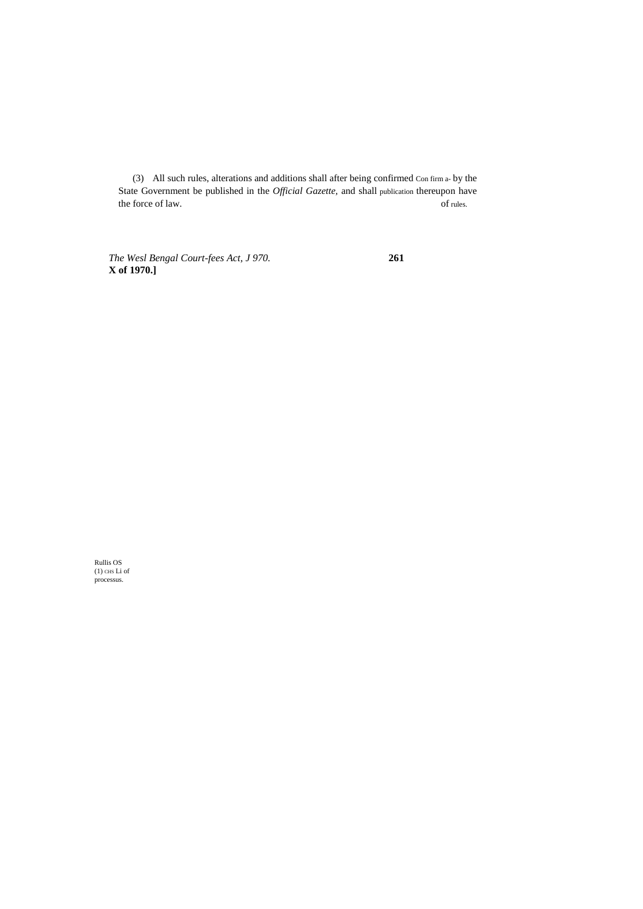(3) All such rules, alterations and additions shall after being confirmed Con firm a- by the State Government be published in the *Official Gazette,* and shall publication thereupon have the force of law.  $\qquad \qquad$  of rules.

*The Wesl Bengal Court-fees Act, J 970.* **261 X of 1970.]**

Rullis OS (1) CHS Li of processus.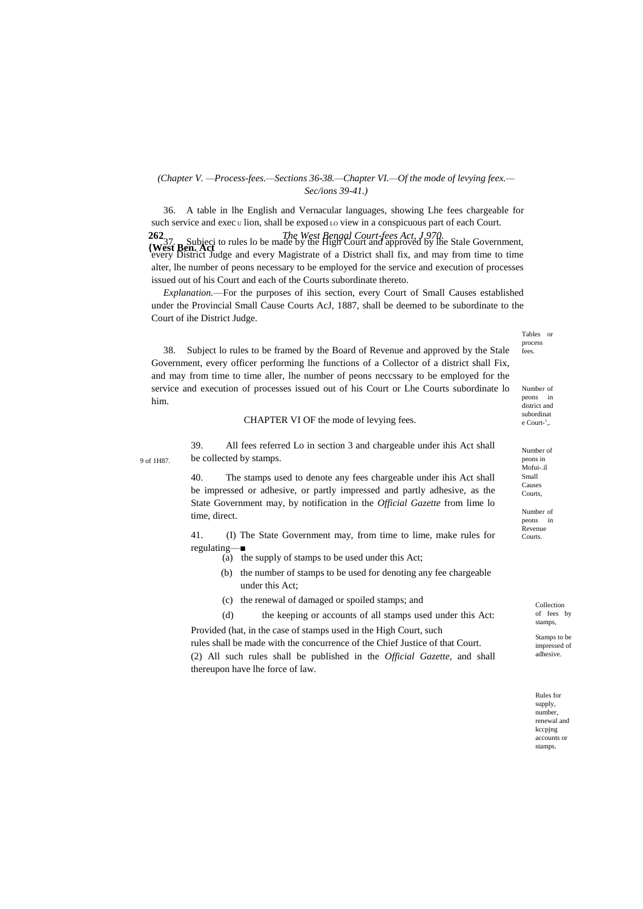### *(Chapter V. —Process-fees.—Sections 36-38.—Chapter VI.—Of the mode of levying feex.— Sec/ions 39-41.)*

**262** *The West Bengal Court-fees Act, J 970.* **<sup>202</sup>37.** Subjeci to rules lo be made by the High Court and approved by the Stale Government, West Ben. Act 36. A table in lhe English and Vernacular languages, showing Lhe fees chargeable for such service and exec  $\upsilon$  lion, shall be exposed  $\upsilon$  view in a conspicuous part of each Court. every District Judge and every Magistrate of a District shall fix, and may from time to time alter, lhe number of peons necessary to be employed for the service and execution of processes issued out of his Court and each of the Courts subordinate thereto.

*Explanation.*—For the purposes of ihis section, every Court of Small Causes established under the Provincial Small Cause Courts AcJ, 1887, shall be deemed to be subordinate to the Court of ihe District Judge.

38. Subject lo rules to be framed by the Board of Revenue and approved by the Stale Government, every officer performing lhe functions of a Collector of a district shall Fix, and may from time to time aller, lhe number of peons neccssary to be employed for the service and execution of processes issued out of his Court or Lhe Courts subordinate lo him.

#### CHAPTER VI OF the mode of levying fees.

9 of 1H87.

39. All fees referred Lo in section 3 and chargeable under ihis Act shall be collected by stamps.

40. The stamps used to denote any fees chargeable under ihis Act shall be impressed or adhesive, or partly impressed and partly adhesive, as the State Government may, by notification in the *Official Gazette* from lime lo time, direct.

41. (I) The State Government may, from time to lime, make rules for regulating-

- (a) the supply of stamps to be used under this Act;
- (b) the number of stamps to be used for denoting any fee chargeable under this Act;
- (c) the renewal of damaged or spoiled stamps; and
- (d) the keeping or accounts of all stamps used under this Act: Provided (hat, in the case of stamps used in the High Court, such

rules shall be made with the concurrence of the Chief Justice of that Court. (2) All such rules shall be published in the *Official Gazette,* and shall thereupon have lhe force of law.

Tables or process fees.

Number of peons in district and subordinat e Court-<sup>1</sup>,.

Number of peons in Mofui-.il Small Causes Courts,

Number of peons in Revenue Courts.

> Collection of fees by stamps,

Stamps to be impressed of adhesive.

Rules for supply, number, renewal and kccpjng accounts or stamps.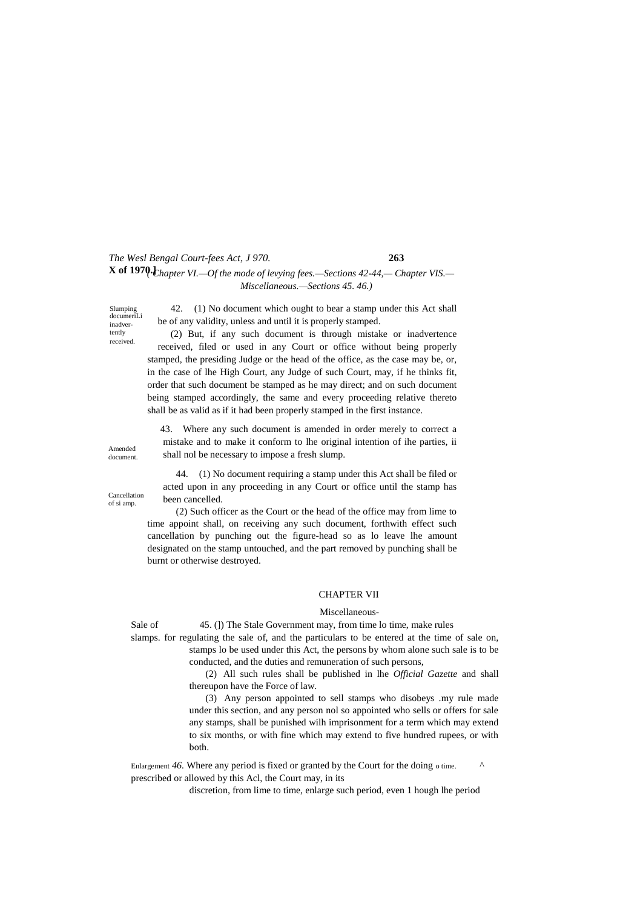# *The Wesl Bengal Court-fees Act, J 970.* **263 X of 1970.** $\rm{t_{hapter}}$  **VI.—Of the mode of levying fees.—Sections 42-44,— Chapter VIS.—** *Miscellaneous.—Sections 45. 46.)*

Slumping documeriLi inadvertently received.

42. (1) No document which ought to bear a stamp under this Act shall be of any validity, unless and until it is properly stamped.

(2) But, if any such document is through mistake or inadvertence received, filed or used in any Court or office without being properly stamped, the presiding Judge or the head of the office, as the case may be, or, in the case of lhe High Court, any Judge of such Court, may, if he thinks fit, order that such document be stamped as he may direct; and on such document being stamped accordingly, the same and every proceeding relative thereto shall be as valid as if it had been properly stamped in the first instance.

43. Where any such document is amended in order merely to correct a mistake and to make it conform to lhe original intention of ihe parties, ii shall nol be necessary to impose a fresh slump.

Cancellation of si amp.

Amended document.

> 44. (1) No document requiring a stamp under this Act shall be filed or acted upon in any proceeding in any Court or office until the stamp has been cancelled.

(2) Such officer as the Court or the head of the office may from lime to time appoint shall, on receiving any such document, forthwith effect such cancellation by punching out the figure-head so as lo leave lhe amount designated on the stamp untouched, and the part removed by punching shall be burnt or otherwise destroyed.

### CHAPTER VII

#### Miscellaneous-

Sale of 45. (1) The Stale Government may, from time lo time, make rules

slamps. for regulating the sale of, and the particulars to be entered at the time of sale on, stamps lo be used under this Act, the persons by whom alone such sale is to be conducted, and the duties and remuneration of such persons,

> (2) All such rules shall be published in lhe *Official Gazette* and shall thereupon have the Force of law.

> (3) Any person appointed to sell stamps who disobeys .my rule made under this section, and any person nol so appointed who sells or offers for sale any stamps, shall be punished wilh imprisonment for a term which may extend to six months, or with fine which may extend to five hundred rupees, or with both.

Enlargement 46. Where any period is fixed or granted by the Court for the doing o time. prescribed or allowed by this Acl, the Court may, in its

discretion, from lime to time, enlarge such period, even 1 hough lhe period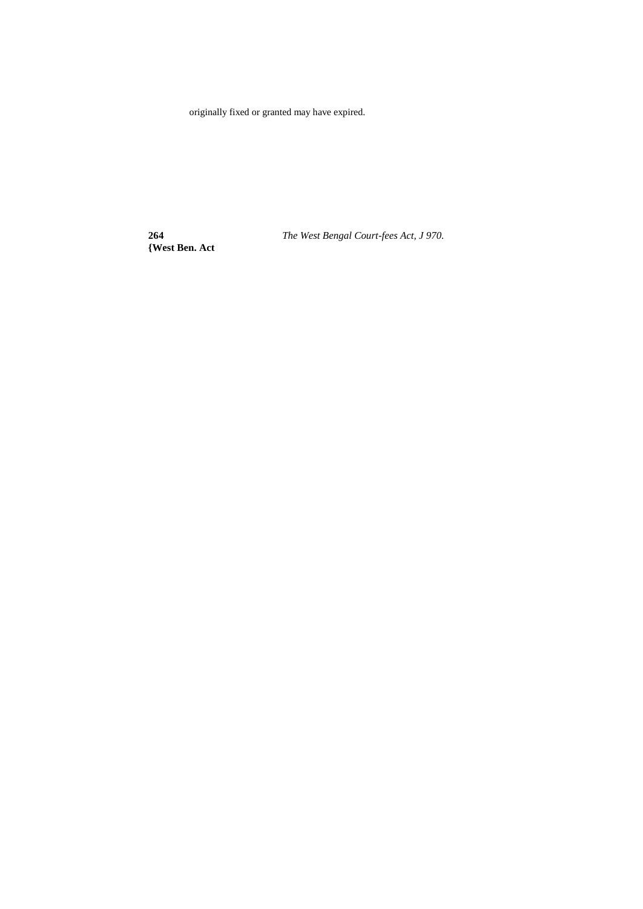originally fixed or granted may have expired.

**{West Ben. Act**

**264** *The West Bengal Court-fees Act, J 970.*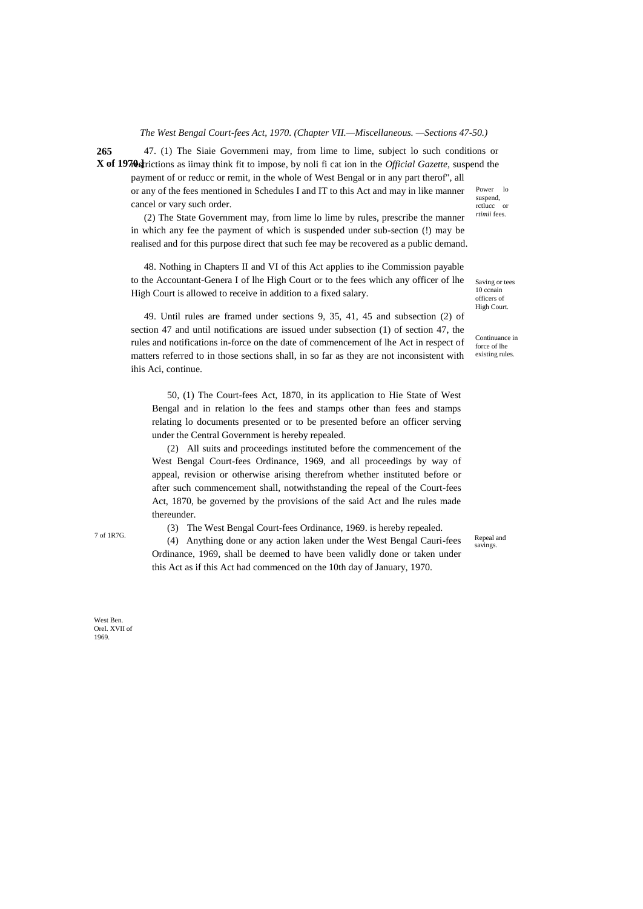*The West Bengal Court-fees Act, 1970. (Chapter VII.—Miscellaneous. —Sections 47-50.)*

**265 X of 1970.** Find the strictions as iimay think fit to impose, by noli fi cat ion in the *Official Gazette*, suspend the Power lo suspend, 47. (1) The Siaie Governmeni may, from lime to lime, subject lo such conditions or payment of or reducc or remit, in the whole of West Bengal or in any part therof", all or any of the fees mentioned in Schedules I and IT to this Act and may in like manner

cancel or vary such order. (2) The State Government may, from lime lo lime by rules, prescribe the manner in which any fee the payment of which is suspended under sub-section (!) may be realised and for this purpose direct that such fee may be recovered as a public demand.

48. Nothing in Chapters II and VI of this Act applies to ihe Commission payable to the Accountant-Genera I of lhe High Court or to the fees which any officer of lhe High Court is allowed to receive in addition to a fixed salary.

49. Until rules are framed under sections 9, 35, 41, 45 and subsection (2) of section 47 and until notifications are issued under subsection (1) of section 47, the rules and notifications in-force on the date of commencement of lhe Act in respect of matters referred to in those sections shall, in so far as they are not inconsistent with ihis Aci, continue.

50, (1) The Court-fees Act, 1870, in its application to Hie State of West Bengal and in relation lo the fees and stamps other than fees and stamps relating lo documents presented or to be presented before an officer serving under the Central Government is hereby repealed.

(2) All suits and proceedings instituted before the commencement of the West Bengal Court-fees Ordinance, 1969, and all proceedings by way of appeal, revision or otherwise arising therefrom whether instituted before or after such commencement shall, notwithstanding the repeal of the Court-fees Act, 1870, be governed by the provisions of the said Act and lhe rules made thereunder.

(3) The West Bengal Court-fees Ordinance, 1969. is hereby repealed.

 $7 \text{ of } IR7G$ . (4) Anything done or any action laken under the West Bengal Cauri-fees Repeal and Ordinance, 1969, shall be deemed to have been validly done or taken under this Act as if this Act had commenced on the 10th day of January, 1970.

Saving or tees 10 ccnain officers of High Court.

rctlucc or *rtimii* fees.

Continuance in force of lhe existing rules.

Repeal and<br>savings.

West Ben. Orel. XVII of 1969.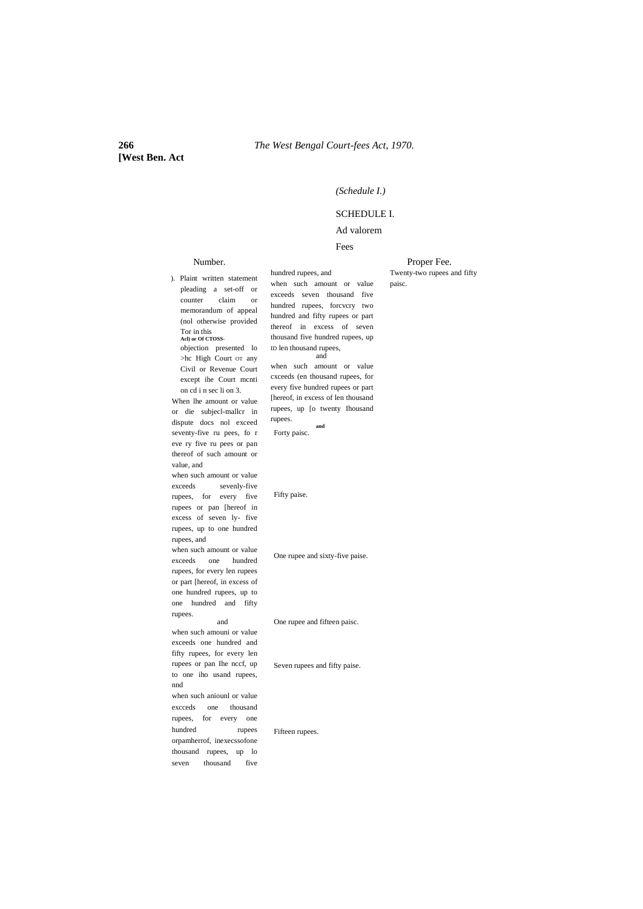# **[West Ben. Act**

#### *(Schedule I.)*

### SCHEDULE I.

## Ad valorem

#### Fees

# Number. ). Plaint written statement

#### Proper Fee. Twenty-two rupees and fifty paisc.

pleading a set-off or counter claim or memorandum of appeal (nol otherwise provided Tor in this **Acl) or Of CTOSS**objection presented lo >hc High Court OT any Civil or Revenue Court except ihe Court mcnti on cd i n sec li on 3. When lhe amount or value or die subjecl-mallcr in dispute docs nol exceed seventy-five ru pees, fo r eve ry five ru pees or pan thereof of such amount or value, and when such amount or value exceeds sevenly-five rupees, for every five rupees or pan [hereof in excess of seven ly- five rupees, up to one hundred rupees, and when such amount or value exceeds one hundred rupees, for every len rupees or part [hereof, in excess of one hundred rupees, up to one hundred and fifty rupees. and when such amouni or value exceeds one hundred and fifty rupees, for every len rupees or pan Ihe nccf, up to one iho usand rupees, nnd when such aniounl or value excceds one thousand rupees, for every one hundred rupees orpamherrof, inexecssofone thousand rupees, up lo seven thousand five

hundred rupees, and when such amount or value exceeds seven thousand five hundred rupees, forcvcry two hundred and fifty rupees or part thereof in excess of seven thousand five hundred rupees, up ID len thousand rupees, and when such amount or value cxceeds (en thousand rupees, for every five hundred rupees or part [hereof, in excess of len thousand rupees, up [o twenty Ihousand rupees. **and** Forty paisc.

Fifty paise.

One rupee and sixty-five paise.

One rupee and fifteen paisc.

Seven rupees and fifty paise.

Fifteen rupees.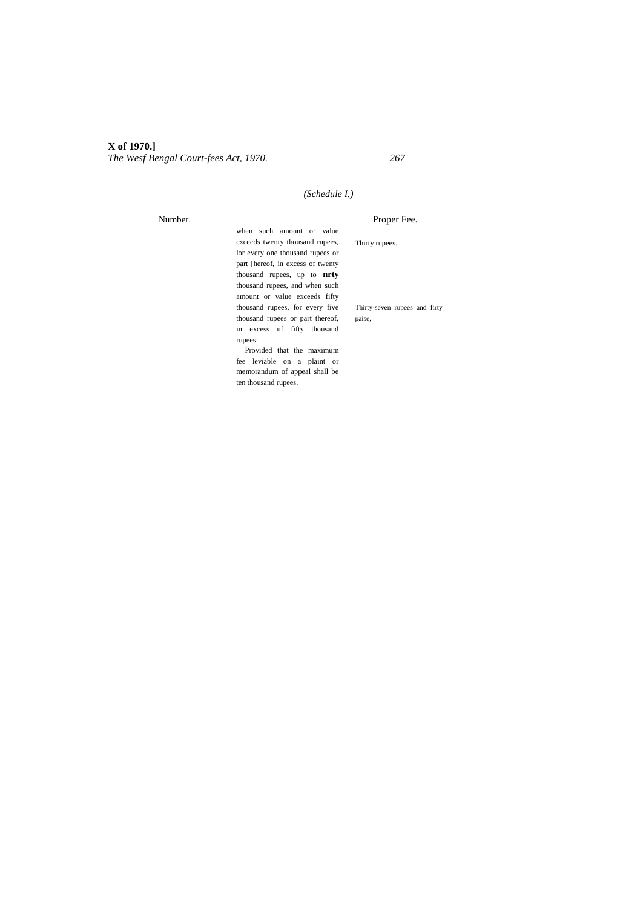## *(Schedule I.)*

Number.

Proper Fee.

Thirty rupees.

when such amount or value cxcecds twenty thousand rupees, lor every one thousand rupees or part [hereof, in excess of twenty thousand rupees, up to **nrty** thousand rupees, and when such amount or value exceeds fifty thousand rupees, for every five thousand rupees or part thereof, in excess uf fifty thousand rupees:

Thirty-seven rupees and firty paise,

Provided that the maximum fee leviable on a plaint or memorandum of appeal shall be ten thousand rupees.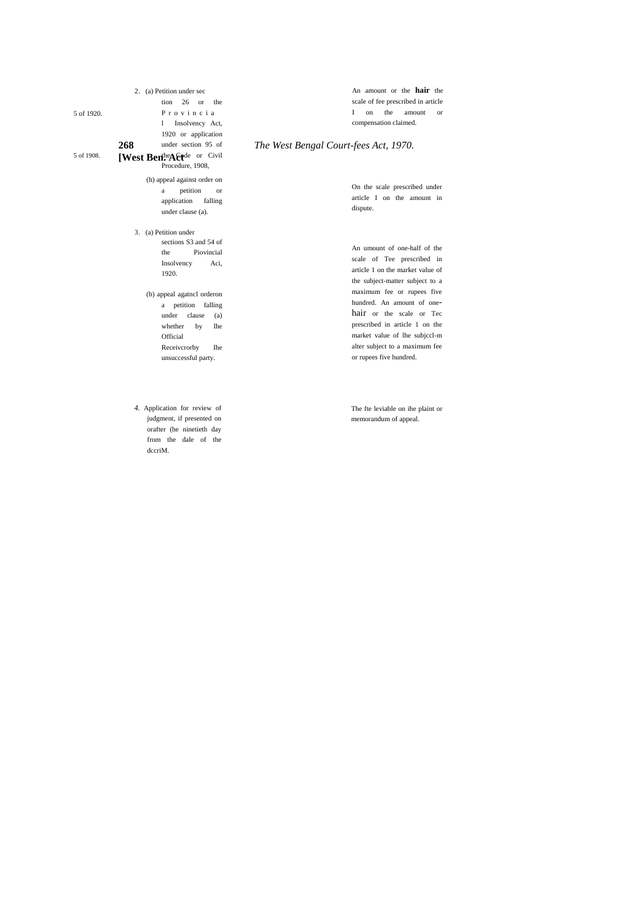[West Ben<sup>the</sup> A & Fe<sup>de</sup> or Civil 2. (a) Petition under sec tion 26 or the P r o v i n c i a l Insolvency Act, 1920 or application under section 95 of Procedure, 1908, (h) appeal against order on

a petition or application falling under clause (a).

3. (a) Petition under sections S3 and 54 of the Piovincial Insolvency Aci, 1920.

> (b) appeal agatncl orderon a petition falling under clause (a) whether by lhe Official Receiverorby Ihe unsuccessful party.

*4.* Application for review of judgment, if presented on orafter (he ninetieth day from the dale of the dccriM.

An amount or the **hair** the scale of fee prescribed in article I on the amount or compensation claimed.

#### **268** *The West Bengal Court-fees Act, 1970.*

On the scale prescribed under article I on the amount in dispute.

An umount of one-half of the scale of Tee prescribed in article 1 on the market value of the subject-matter subject to a maximum fee or rupees five hundred. An amount of onehair or the scale or Tec prescribed in article 1 on the market value of lhe subjccl-m alter subject to a maximum fee or rupees five hundred.

The fte leviable on ihe plaint or memorandum of appeal.

5 of 1920.

5 of 1908.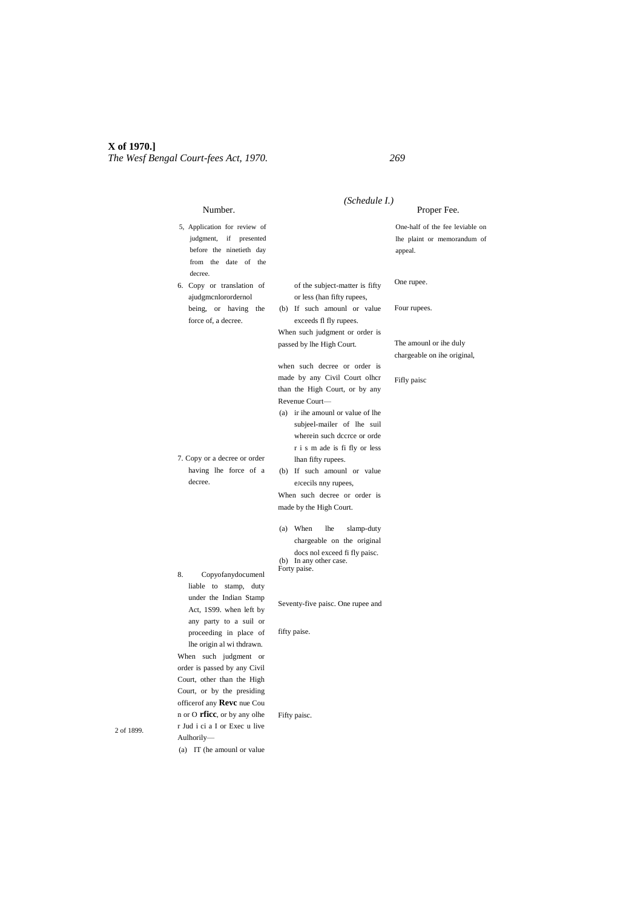|                                                                                                                                                 | (Schedule I.)                                                                                  |                                                                           |
|-------------------------------------------------------------------------------------------------------------------------------------------------|------------------------------------------------------------------------------------------------|---------------------------------------------------------------------------|
| Number.                                                                                                                                         |                                                                                                | Proper Fee.                                                               |
| 5, Application for review of<br>judgment,<br>if<br>presented<br>before the ninetieth day<br>from the date of the<br>decree.                     |                                                                                                | One-half of the fee leviable on<br>lhe plaint or memorandum of<br>appeal. |
| 6. Copy or translation of<br>ajudgmcnlorordernol                                                                                                | of the subject-matter is fifty<br>or less (han fifty rupees,                                   | One rupee.                                                                |
| being, or having the<br>force of, a decree.                                                                                                     | (b) If such amount or value<br>exceeds fl fly rupees.<br>When such judgment or order is        | Four rupees.                                                              |
|                                                                                                                                                 | passed by lhe High Court.<br>when such decree or order is                                      | The amounl or ihe duly<br>chargeable on ihe original,                     |
|                                                                                                                                                 | made by any Civil Court olher<br>than the High Court, or by any<br>Revenue Court-              | Fifly paisc                                                               |
|                                                                                                                                                 | (a) ir ihe amount or value of the<br>subjeel-mailer of lhe suil<br>wherein such dccrce or orde |                                                                           |
| 7. Copy or a decree or order                                                                                                                    | r i s m ade is fi fly or less                                                                  |                                                                           |
| having lhe force of a                                                                                                                           | lhan fifty rupees.<br>(b) If such amount or value                                              |                                                                           |
| decree.                                                                                                                                         | eJcecils nny rupees,                                                                           |                                                                           |
|                                                                                                                                                 | When such decree or order is                                                                   |                                                                           |
|                                                                                                                                                 | made by the High Court.                                                                        |                                                                           |
|                                                                                                                                                 | (a) When<br><b>lhe</b><br>slamp-duty                                                           |                                                                           |
|                                                                                                                                                 | chargeable on the original                                                                     |                                                                           |
|                                                                                                                                                 | docs nol exceed fi fly paisc.<br>(b) In any other case.                                        |                                                                           |
| 8.<br>Copyofanydocumenl<br>liable to stamp, duty                                                                                                | Forty paise.                                                                                   |                                                                           |
| under the Indian Stamp<br>Act, 1S99. when left by<br>any party to a suil or                                                                     | Seventy-five paisc. One rupee and                                                              |                                                                           |
| proceeding in place of<br>lhe origin al wi thdrawn.                                                                                             | fifty paise.                                                                                   |                                                                           |
| When such judgment or<br>order is passed by any Civil<br>Court, other than the High<br>Court, or by the presiding<br>officerof any Revc nue Cou |                                                                                                |                                                                           |
| n or O <b>rfice</b> , or by any olhe<br>r Jud i ci a I or Exec u live<br>Aulhorily-<br>(a) IT (he amounl or value                               | Fifty paisc.                                                                                   |                                                                           |

2 of 1899.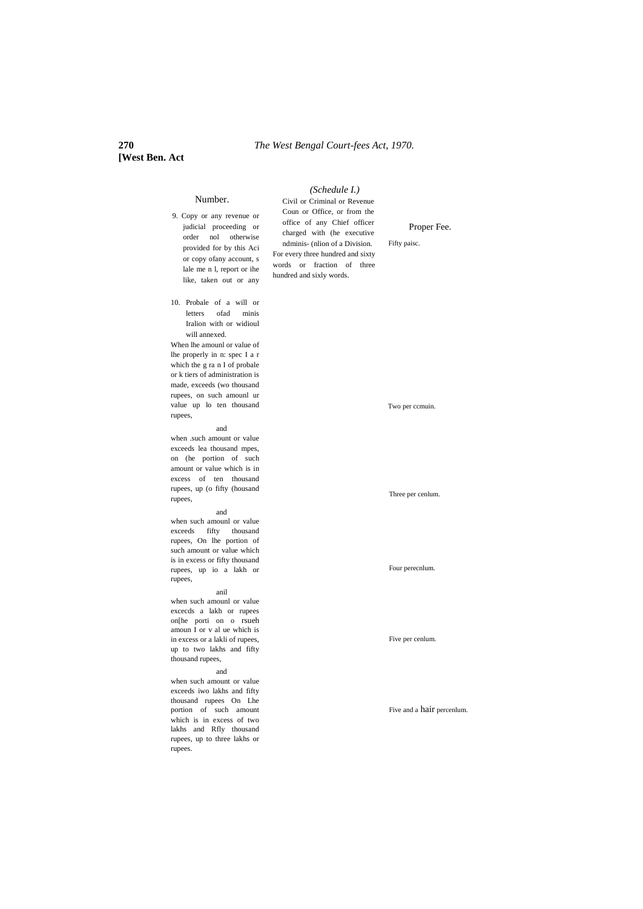### **270** *The West Bengal Court-fees Act, 1970.*

*(Schedule I.)*

# **[West Ben. Act**

#### 9. Copy or any revenue or judicial proceeding or order nol otherwise provided for by this Aci or copy ofany account, s lale me n l, report or ihe like, taken out or any 10. Probale of a will or letters ofad minis Iralion with or widioul will annexed. When lhe amounl or value of lhe properly in n: spec I a r which the g ra n I of probale or k tiers of administration is made, exceeds (wo thousand rupees, on such amounl ur value up lo ten thousand rupees,

and

Number.

when .such amount or value exceeds lea thousand mpes, on (he portion of such amount or value which is in excess of ten thousand rupees, up (o fifty (housand rupees,

#### and

when such amounl or value exceeds fifty thousand rupees, On lhe portion of such amount or value which is in excess or fifty thousand rupees, up io a lakh or rupees,

#### anil

when such amounl or value excecds a lakh or rupees on[he porti on o rsueh amoun I or v al ue which is in excess or a lakli of rupees, up to two lakhs and fifty thousand rupees,

#### and

when such amount or value exceeds iwo lakhs and fifty thousand rupees On Lhe portion of such amount which is in excess of two lakhs and Rfly thousand rupees, up to three lakhs or rupees.

Civil or Criminal or Revenue Coun or Office, or from the office of any Chief officer charged with (he executive ndminis- (nlion of a Division. For every three hundred and sixty words or fraction of three hundred and sixly words.

Proper Fee.

Fifty paisc.

Two per ccmuin.

#### Three per cenlum.

Four perecnlum.

#### Five per cenlum.

Five and a hair percenlum.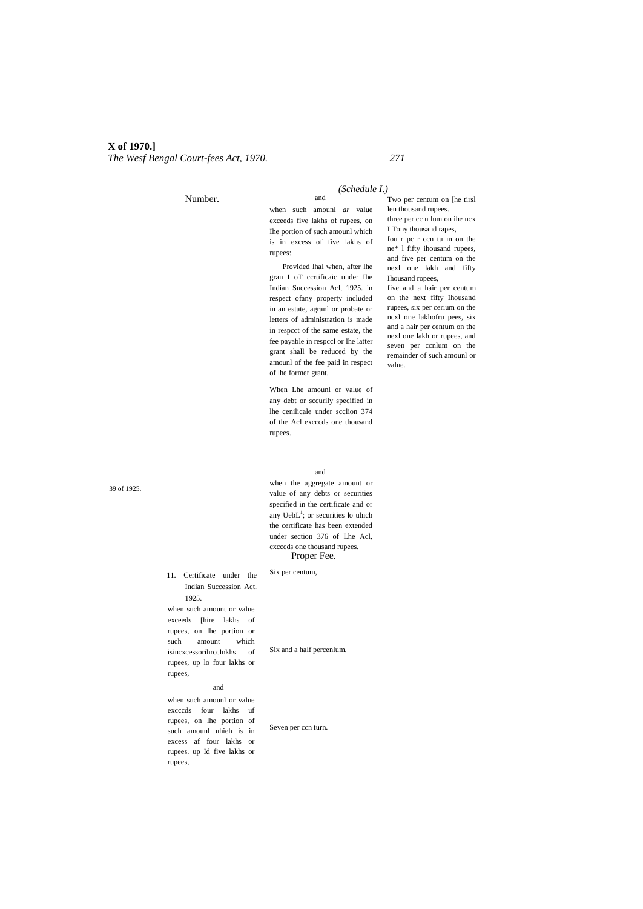## **X of 1970.]**

*The Wesf Bengal Court-fees Act, 1970. 271*

Number.

#### *(Schedule I.)*

when such amounl *ar* value exceeds five lakhs of rupees, on Ihe portion of such amounl which is in excess of five lakhs of rupees:

and

Provided lhal when, after lhe gran I oT ccrtificaic under Ihe Indian Succession Acl, 1925. in respect ofany property included in an estate, agranl or probate or letters of administration is made in respcct of the same estate, the fee payable in respccl or lhe latter grant shall be reduced by the amounl of the fee paid in respect of lhe former grant.

When Lhe amounl or value of any debt or sccurily specified in lhe cenilicale under scclion 374 of the Acl excccds one thousand rupees.

and when the aggregate amount or value of any debts or securities specified in the certificate and or any Ueb $L^1$ ; or securities lo uhich the certificate has been extended under section 376 of Lhe Acl, cxcccds one thousand rupees. Proper Fee.

Two per centum on [he tirsl len thousand rupees. three per cc n lum on ihe ncx I Tony thousand rapes, fou r pc r ccn tu m on the ne\* l fifty ihousand rupees, and five per centum on the nexl one lakh and fifty Ihousand ropees, five and a hair per centum

on the next fifty Ihousand rupees, six per cerium on the ncxl one lakhofru pees, six and a hair per centum on the nexl one lakh or rupees, and seven per ccnlum on the remainder of such amounl or value.

39 of 1925.

11. Certificate under the Indian Succession Act. 1925. when such amount or value exceeds [hire lakhs of

rupees, on lhe portion or such amount which isincxcessorihrcclnkhs of rupees, up lo four lakhs or rupees,

#### and

when such amounl or value excccds four lakhs uf rupees, on lhe portion of such amounl uhieh is in excess af four lakhs or rupees. up Id five lakhs or rupees,

Six and a half percenlum.

Six per centum,

Seven per ccn turn.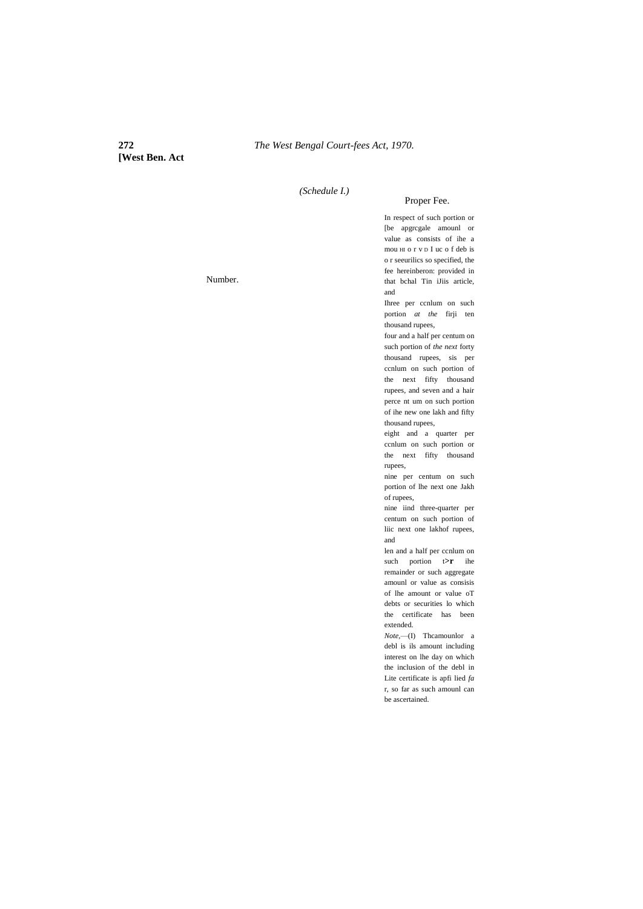**[West Ben. Act**

*(Schedule I.)*

### Proper Fee.

In respect of such portion or [be apgrcgale amounl or value as consists of ihe a mou HI o r v D I uc o f deb is o r seeurilics so specified, the fee hereinberon: provided in that bchal Tin iJiis article, and

Ihree per ccnlum on such portion *at the* firji ten thousand rupees,

four and a half per centum on such portion of *the next* forty thousand rupees, sis per ccnlum on such portion of the next fifty thousand rupees, and seven and a hair perce nt um on such portion of ihe new one lakh and fifty thousand rupees,

eight and a quarter per ccnlum on such portion or the next fifty thousand rupees,

nine per centum on such portion of lhe next one Jakh of rupees,

nine iind three-quarter per centum on such portion of liic next one lakhof rupees, and

len and a half per ccnlum on such portion  $t > r$  ihe remainder or such aggregate amounl or value as consisis of lhe amount or value oT debts or securities lo which the certificate has been extended.

*Note,*—(I) Thcamounlor a debl is ils amount including interest on lhe day on which the inclusion of the debl in Lite certificate is apfi lied *fa* r, so far as such amounl can be ascertained.

Number.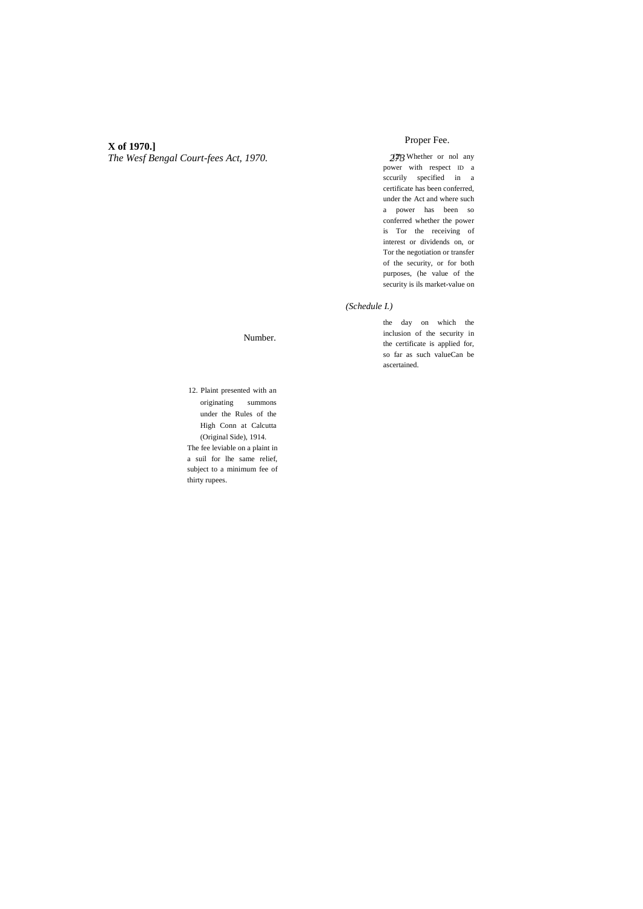## **X of 1970.]**

*The Wesf Bengal Court-fees Act, 1970. 273*

## Proper Fee.

 $27/3$  Whether or nol any power with respect ID a sccurily specified in a certificate has been conferred, under the Act and where such a power has been so conferred whether the power is Tor the receiving of interest or dividends on, or Tor the negotiation or transfer of the security, or for both purposes, (he value of the security is ils market-value on

#### *(Schedule I.)*

the day on which the inclusion of the security in the certificate is applied for, so far as such valueCan be ascertained.

Number.

12. Plaint presented with an originating summons under the Rules of the High Conn at Calcutta (Original Side), 1914. The fee leviable on a plaint in a suil for lhe same relief, subject to a minimum fee of thirty rupees.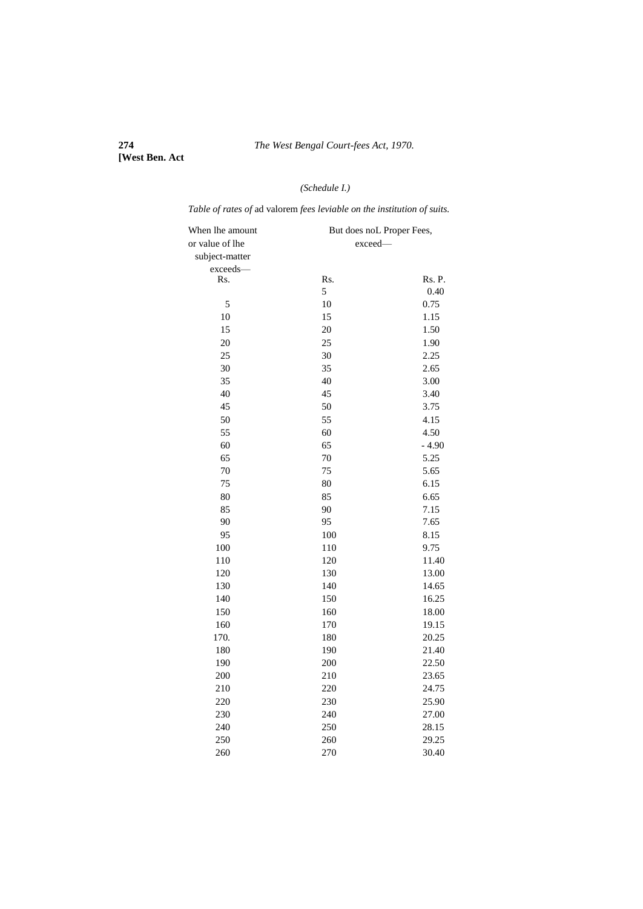**[West Ben. Act**

# *(Schedule I.)*

*Table of rates of* ad valorem *fees leviable on the institution of suits.*

| When lhe amount | But does noL Proper Fees, |         |
|-----------------|---------------------------|---------|
| or value of lhe | exceed-                   |         |
| subject-matter  |                           |         |
| exceeds-        |                           |         |
| Rs.             | Rs.                       | Rs. P.  |
|                 | 5                         | 0.40    |
| 5               | 10                        | 0.75    |
| 10              | 15                        | 1.15    |
| 15              | 20                        | 1.50    |
| 20              | 25                        | 1.90    |
| 25              | 30                        | 2.25    |
| 30              | 35                        | 2.65    |
| 35              | 40                        | 3.00    |
| 40              | 45                        | 3.40    |
| 45              | 50                        | 3.75    |
| 50              | 55                        | 4.15    |
| 55              | 60                        | 4.50    |
| 60              | 65                        | $-4.90$ |
| 65              | 70                        | 5.25    |
| 70              | 75                        | 5.65    |
| 75              | 80                        | 6.15    |
| 80              | 85                        | 6.65    |
| 85              | 90                        | 7.15    |
| 90              | 95                        | 7.65    |
| 95              | 100                       | 8.15    |
| 100             | 110                       | 9.75    |
| 110             | 120                       | 11.40   |
| 120             | 130                       | 13.00   |
| 130             | 140                       | 14.65   |
| 140             | 150                       | 16.25   |
| 150             | 160                       | 18.00   |
| 160             | 170                       | 19.15   |
| 170.            | 180                       | 20.25   |
| 180             | 190                       | 21.40   |
| 190             | 200                       | 22.50   |
| 200             | 210                       | 23.65   |
| 210             | 220                       | 24.75   |
| 220             | 230                       | 25.90   |
| 230             | 240                       | 27.00   |
| 240             | 250                       | 28.15   |
| 250             | 260                       | 29.25   |
| 260             | 270                       | 30.40   |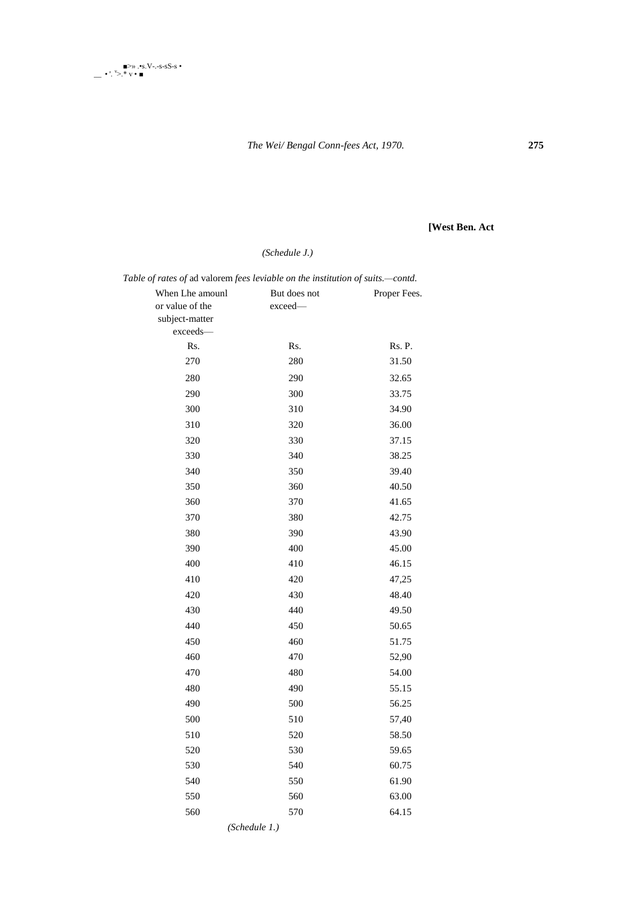

*The Wei/ Bengal Conn-fees Act, 1970.* **275**

# **[West Ben. Act**

# *(Schedule J.)*

| Table of rates of ad valorem fees leviable on the institution of suits.-contd. |              |              |  |
|--------------------------------------------------------------------------------|--------------|--------------|--|
| When Lhe amounl                                                                | But does not | Proper Fees. |  |
| or value of the                                                                | exceed-      |              |  |
| subject-matter                                                                 |              |              |  |
| exceeds-                                                                       |              |              |  |
| Rs.                                                                            | Rs.          | Rs. P.       |  |
| 270                                                                            | 280          | 31.50        |  |
| 280                                                                            | 290          | 32.65        |  |
| 290                                                                            | 300          | 33.75        |  |
| 300                                                                            | 310          | 34.90        |  |
| 310                                                                            | 320          | 36.00        |  |
| 320                                                                            | 330          | 37.15        |  |
| 330                                                                            | 340          | 38.25        |  |
| 340                                                                            | 350          | 39.40        |  |
| 350                                                                            | 360          | 40.50        |  |
| 360                                                                            | 370          | 41.65        |  |
| 370                                                                            | 380          | 42.75        |  |
| 380                                                                            | 390          | 43.90        |  |
| 390                                                                            | 400          | 45.00        |  |
| 400                                                                            | 410          | 46.15        |  |
| 410                                                                            | 420          | 47,25        |  |
| 420                                                                            | 430          | 48.40        |  |
| 430                                                                            | 440          | 49.50        |  |
| 440                                                                            | 450          | 50.65        |  |
| 450                                                                            | 460          | 51.75        |  |
| 460                                                                            | 470          | 52,90        |  |
| 470                                                                            | 480          | 54.00        |  |
| 480                                                                            | 490          | 55.15        |  |
| 490                                                                            | 500          | 56.25        |  |
| 500                                                                            | 510          | 57,40        |  |
| 510                                                                            | 520          | 58.50        |  |
| 520                                                                            | 530          | 59.65        |  |
| 530                                                                            | 540          | 60.75        |  |
| 540                                                                            | 550          | 61.90        |  |
| 550                                                                            | 560          | 63.00        |  |
| 560                                                                            | 570          | 64.15        |  |
|                                                                                |              |              |  |

*(Schedule 1.)*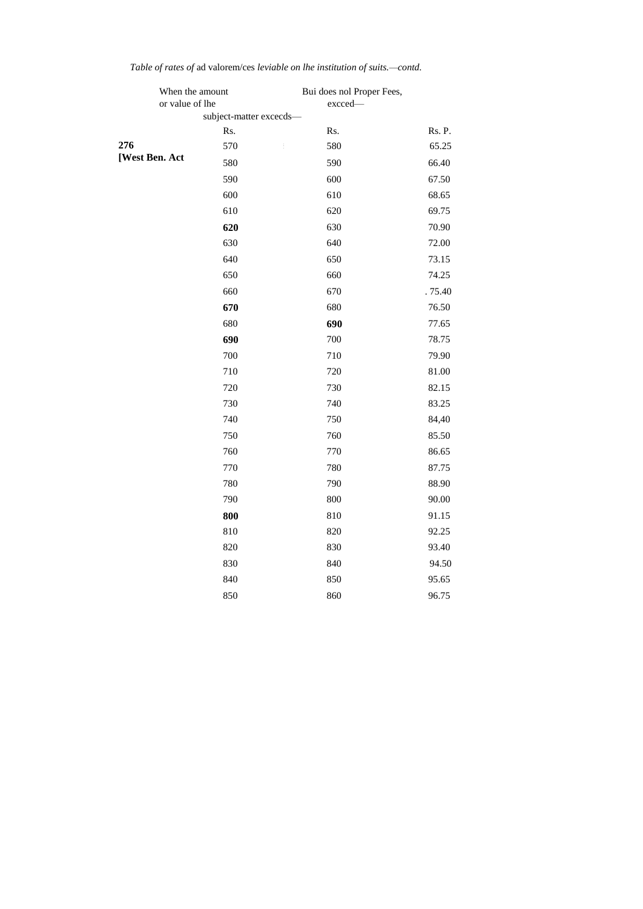|                | When the amount<br>or value of lhe |                         | Bui does nol Proper Fees,<br>excced- |        |
|----------------|------------------------------------|-------------------------|--------------------------------------|--------|
|                |                                    | subject-matter excecds- |                                      |        |
|                |                                    | Rs.                     | Rs.                                  | Rs. P. |
| 276            |                                    | 570                     | 580                                  | 65.25  |
| [West Ben. Act |                                    | 580                     | 590                                  | 66.40  |
|                |                                    | 590                     | 600                                  | 67.50  |
|                |                                    | 600                     | 610                                  | 68.65  |
|                |                                    | 610                     | 620                                  | 69.75  |
|                |                                    | 620                     | 630                                  | 70.90  |
|                |                                    | 630                     | 640                                  | 72.00  |
|                |                                    | 640                     | 650                                  | 73.15  |
|                |                                    | 650                     | 660                                  | 74.25  |
|                |                                    | 660                     | 670                                  | .75.40 |
|                |                                    | 670                     | 680                                  | 76.50  |
|                |                                    | 680                     | 690                                  | 77.65  |
|                |                                    | 690                     | 700                                  | 78.75  |
|                |                                    | 700                     | 710                                  | 79.90  |
|                |                                    | 710                     | 720                                  | 81.00  |
|                |                                    | 720                     | 730                                  | 82.15  |
|                |                                    | 730                     | 740                                  | 83.25  |
|                |                                    | 740                     | 750                                  | 84,40  |
|                |                                    | 750                     | 760                                  | 85.50  |
|                |                                    | 760                     | 770                                  | 86.65  |
|                |                                    | 770                     | 780                                  | 87.75  |
|                |                                    | 780                     | 790                                  | 88.90  |
|                |                                    | 790                     | 800                                  | 90.00  |
|                |                                    | 800                     | 810                                  | 91.15  |
|                |                                    | 810                     | 820                                  | 92.25  |
|                |                                    | 820                     | 830                                  | 93.40  |
|                |                                    | 830                     | 840                                  | 94.50  |
|                |                                    | 840                     | 850                                  | 95.65  |
|                |                                    | 850                     | 860                                  | 96.75  |

*Table of rates of* ad valorem/ces *leviable on lhe institution of suits.—contd.*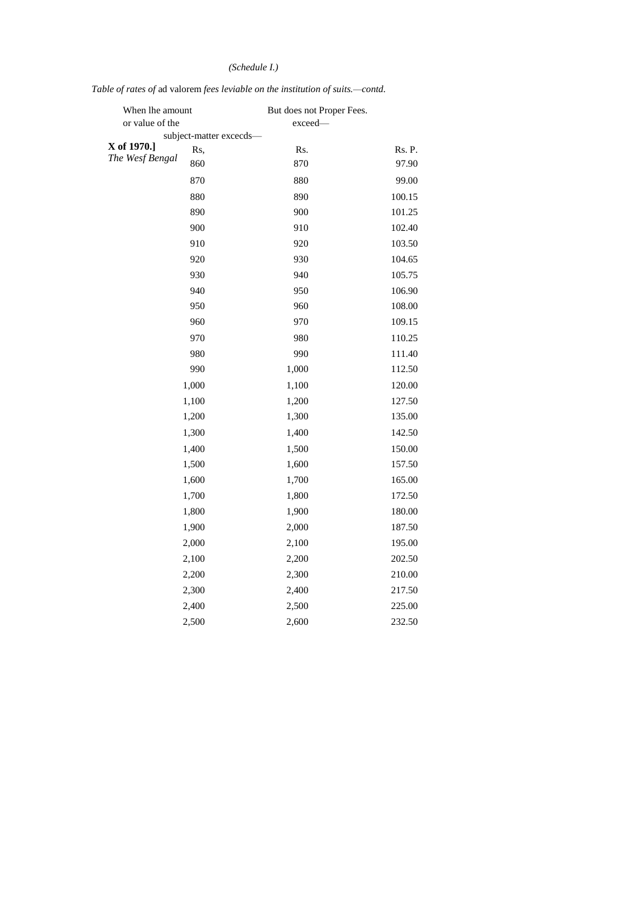# *(Schedule I.)*

# *Table of rates of* ad valorem *fees leviable on the institution of suits.—contd.*

| When lhe amount |                         | But does not Proper Fees. |        |
|-----------------|-------------------------|---------------------------|--------|
| or value of the |                         | exceed—                   |        |
| X of 1970.]     | subject-matter excecds- |                           |        |
| The Wesf Bengal | Rs,                     | Rs.                       | Rs. P. |
|                 | 860                     | 870                       | 97.90  |
|                 | 870                     | 880                       | 99.00  |
|                 | 880                     | 890                       | 100.15 |
|                 | 890                     | 900                       | 101.25 |
|                 | 900                     | 910                       | 102.40 |
|                 | 910                     | 920                       | 103.50 |
|                 | 920                     | 930                       | 104.65 |
|                 | 930                     | 940                       | 105.75 |
|                 | 940                     | 950                       | 106.90 |
|                 | 950                     | 960                       | 108.00 |
|                 | 960                     | 970                       | 109.15 |
|                 | 970                     | 980                       | 110.25 |
|                 | 980                     | 990                       | 111.40 |
|                 | 990                     | 1,000                     | 112.50 |
|                 | 1,000                   | 1,100                     | 120.00 |
|                 | 1,100                   | 1,200                     | 127.50 |
|                 | 1,200                   | 1,300                     | 135.00 |
|                 | 1,300                   | 1,400                     | 142.50 |
|                 | 1,400                   | 1,500                     | 150.00 |
|                 | 1,500                   | 1,600                     | 157.50 |
|                 | 1,600                   | 1,700                     | 165.00 |
|                 | 1,700                   | 1,800                     | 172.50 |
|                 | 1,800                   | 1,900                     | 180.00 |
|                 | 1,900                   | 2,000                     | 187.50 |
|                 | 2,000                   | 2,100                     | 195.00 |
|                 | 2,100                   | 2,200                     | 202.50 |
|                 | 2,200                   | 2,300                     | 210.00 |
|                 | 2,300                   | 2,400                     | 217.50 |
|                 | 2,400                   | 2,500                     | 225.00 |
|                 | 2,500                   | 2,600                     | 232.50 |
|                 |                         |                           |        |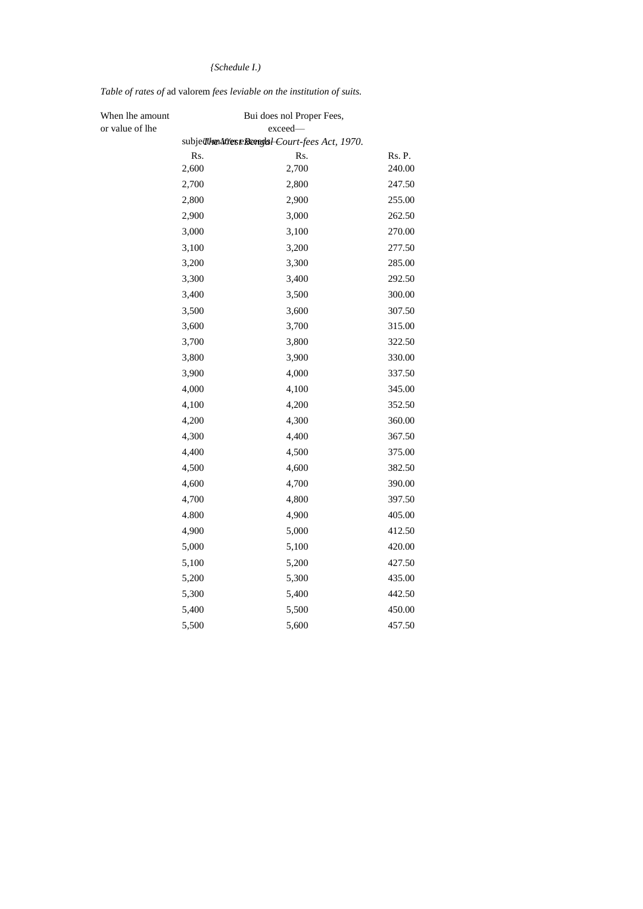# *{Schedule I.)*

# *Table of rates of* ad valorem *fees leviable on the institution of suits.*

| When lhe amount |       | Bui does nol Proper Fees,                      |        |
|-----------------|-------|------------------------------------------------|--------|
| or value of lhe |       | exceed-                                        |        |
|                 |       | subjecthendtteseBeorglal-Court-fees Act, 1970. |        |
|                 | Rs.   | Rs.                                            | Rs. P. |
|                 | 2,600 | 2,700                                          | 240.00 |
|                 | 2,700 | 2,800                                          | 247.50 |
|                 | 2,800 | 2,900                                          | 255.00 |
|                 | 2,900 | 3,000                                          | 262.50 |
|                 | 3,000 | 3,100                                          | 270.00 |
|                 | 3,100 | 3,200                                          | 277.50 |
|                 | 3,200 | 3,300                                          | 285.00 |
|                 | 3,300 | 3,400                                          | 292.50 |
|                 | 3,400 | 3,500                                          | 300.00 |
|                 | 3,500 | 3,600                                          | 307.50 |
|                 | 3,600 | 3,700                                          | 315.00 |
|                 | 3,700 | 3,800                                          | 322.50 |
|                 | 3,800 | 3,900                                          | 330.00 |
|                 | 3,900 | 4,000                                          | 337.50 |
|                 | 4,000 | 4,100                                          | 345.00 |
|                 | 4,100 | 4,200                                          | 352.50 |
|                 | 4,200 | 4,300                                          | 360.00 |
|                 | 4,300 | 4,400                                          | 367.50 |
|                 | 4,400 | 4,500                                          | 375.00 |
|                 | 4,500 | 4,600                                          | 382.50 |
|                 | 4,600 | 4,700                                          | 390.00 |
|                 | 4,700 | 4,800                                          | 397.50 |
|                 | 4.800 | 4,900                                          | 405.00 |
|                 | 4,900 | 5,000                                          | 412.50 |
|                 | 5,000 | 5,100                                          | 420.00 |
|                 | 5,100 | 5,200                                          | 427.50 |
|                 | 5,200 | 5,300                                          | 435.00 |
|                 | 5,300 | 5,400                                          | 442.50 |
|                 | 5,400 | 5,500                                          | 450.00 |
|                 | 5,500 | 5,600                                          | 457.50 |
|                 |       |                                                |        |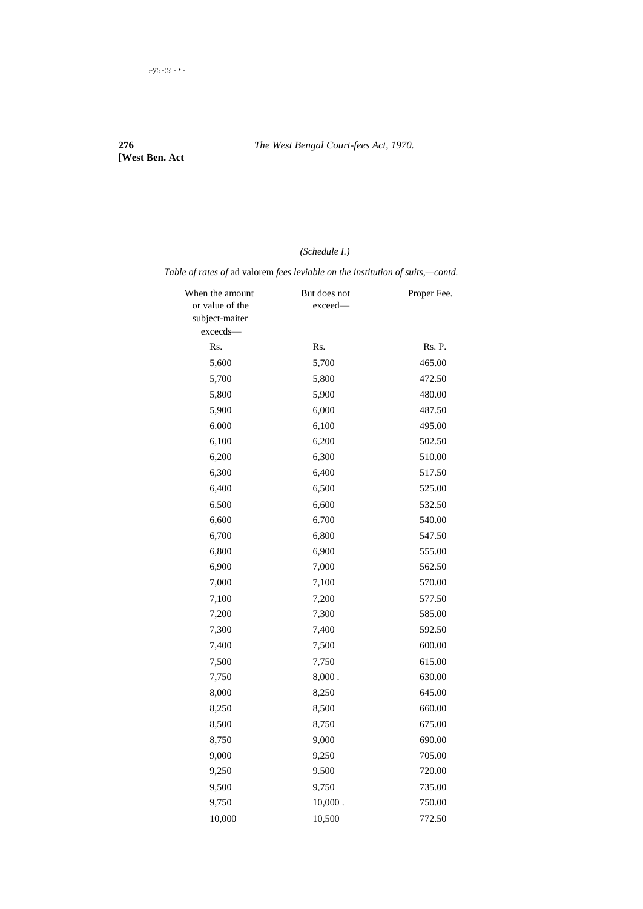# **[West Ben. Act**

# *(Schedule I.)*

*Table of rates of* ad valorem *fees leviable on the institution of suits,—contd.*

| When the amount | But does not | Proper Fee. |
|-----------------|--------------|-------------|
| or value of the | exceed—      |             |
| subject-maiter  |              |             |
| excecds-        |              |             |
| Rs.             | Rs.          | Rs. P.      |
| 5,600           | 5,700        | 465.00      |
| 5,700           | 5,800        | 472.50      |
| 5,800           | 5,900        | 480.00      |
| 5,900           | 6,000        | 487.50      |
| 6.000           | 6,100        | 495.00      |
| 6,100           | 6,200        | 502.50      |
| 6,200           | 6,300        | 510.00      |
| 6,300           | 6,400        | 517.50      |
| 6,400           | 6,500        | 525.00      |
| 6.500           | 6,600        | 532.50      |
| 6,600           | 6.700        | 540.00      |
| 6,700           | 6,800        | 547.50      |
| 6,800           | 6,900        | 555.00      |
| 6,900           | 7,000        | 562.50      |
| 7,000           | 7,100        | 570.00      |
| 7,100           | 7,200        | 577.50      |
| 7,200           | 7,300        | 585.00      |
| 7,300           | 7,400        | 592.50      |
| 7,400           | 7,500        | 600.00      |
| 7,500           | 7,750        | 615.00      |
| 7,750           | 8,000.       | 630.00      |
| 8,000           | 8,250        | 645.00      |
| 8,250           | 8,500        | 660.00      |
| 8,500           | 8,750        | 675.00      |
| 8,750           | 9,000        | 690.00      |
| 9,000           | 9,250        | 705.00      |
| 9,250           | 9.500        | 720.00      |
| 9,500           | 9,750        | 735.00      |
| 9,750           | $10,000$ .   | 750.00      |
| 10,000          | 10,500       | 772.50      |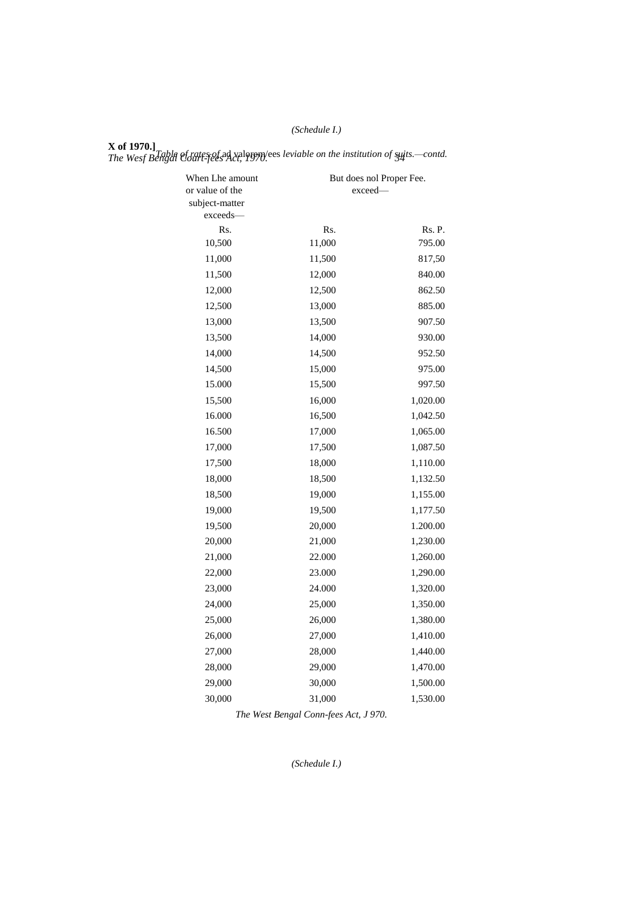# *(Schedule I.)*

**X of 1970.]** *The Wesf Bengal Court-fees Act, 1970. 34 Table of rates of* ad valorem/ees *leviable on the institution of suits.—contd.*

| When Lhe amount<br>or value of the<br>subject-matter | exceed-       | But does nol Proper Fee. |
|------------------------------------------------------|---------------|--------------------------|
| exceeds-                                             |               |                          |
| Rs.<br>10,500                                        | Rs.<br>11,000 | Rs. P.<br>795.00         |
| 11,000                                               | 11,500        | 817,50                   |
| 11,500                                               | 12,000        | 840.00                   |
| 12,000                                               | 12,500        | 862.50                   |
| 12,500                                               | 13,000        | 885.00                   |
| 13,000                                               | 13,500        | 907.50                   |
| 13,500                                               | 14,000        | 930.00                   |
|                                                      |               |                          |
| 14,000                                               | 14,500        | 952.50                   |
| 14,500                                               | 15,000        | 975.00                   |
| 15.000                                               | 15,500        | 997.50                   |
| 15,500                                               | 16,000        | 1,020.00                 |
| 16.000                                               | 16,500        | 1,042.50                 |
| 16.500                                               | 17,000        | 1,065.00                 |
| 17,000                                               | 17,500        | 1,087.50                 |
| 17,500                                               | 18,000        | 1,110.00                 |
| 18,000                                               | 18,500        | 1,132.50                 |
| 18,500                                               | 19,000        | 1,155.00                 |
| 19,000                                               | 19,500        | 1,177.50                 |
| 19,500                                               | 20,000        | 1.200.00                 |
| 20,000                                               | 21,000        | 1,230.00                 |
| 21,000                                               | 22.000        | 1,260.00                 |
| 22,000                                               | 23.000        | 1,290.00                 |
| 23,000                                               | 24.000        | 1,320.00                 |
| 24,000                                               | 25,000        | 1,350.00                 |
| 25,000                                               | 26,000        | 1,380.00                 |
| 26,000                                               | 27,000        | 1,410.00                 |
| 27,000                                               | 28,000        | 1,440.00                 |
| 28,000                                               | 29,000        | 1,470.00                 |
| 29,000                                               | 30,000        | 1,500.00                 |
| 30,000                                               | 31,000        | 1,530.00                 |

*The West Bengal Conn-fees Act, J 970.*

*(Schedule I.)*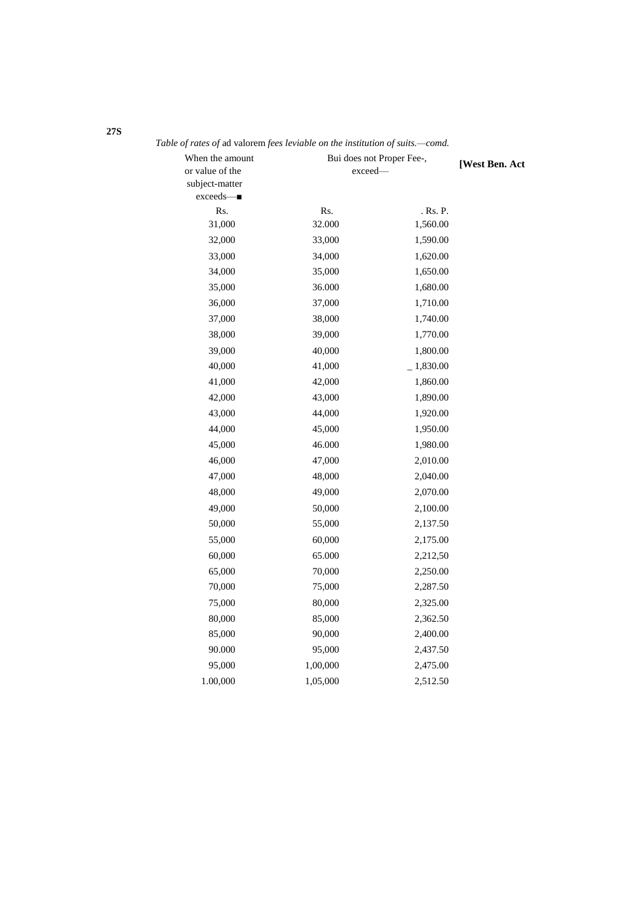| When the amount               | Bui does not Proper Fee-, |             | [West Ben. Act |
|-------------------------------|---------------------------|-------------|----------------|
| or value of the               | exceed-                   |             |                |
| subject-matter<br>$exceeds$ — |                           |             |                |
| Rs.                           | Rs.                       | . Rs. P.    |                |
| 31,000                        | 32.000                    | 1,560.00    |                |
| 32,000                        | 33,000                    | 1,590.00    |                |
| 33,000                        | 34,000                    | 1,620.00    |                |
| 34,000                        | 35,000                    | 1,650.00    |                |
| 35,000                        | 36.000                    | 1,680.00    |                |
| 36,000                        | 37,000                    | 1,710.00    |                |
| 37,000                        | 38,000                    | 1,740.00    |                |
| 38,000                        | 39,000                    | 1,770.00    |                |
| 39,000                        | 40,000                    | 1,800.00    |                |
| 40,000                        | 41,000                    | $-1,830.00$ |                |
| 41,000                        | 42,000                    | 1,860.00    |                |
| 42,000                        | 43,000                    | 1,890.00    |                |
| 43,000                        | 44,000                    | 1,920.00    |                |
| 44,000                        | 45,000                    | 1,950.00    |                |
| 45,000                        | 46.000                    | 1,980.00    |                |
| 46,000                        | 47,000                    | 2,010.00    |                |
| 47,000                        | 48,000                    | 2,040.00    |                |
| 48,000                        | 49,000                    | 2,070.00    |                |
| 49,000                        | 50,000                    | 2,100.00    |                |
| 50,000                        | 55,000                    | 2,137.50    |                |
| 55,000                        | 60,000                    | 2,175.00    |                |
| 60,000                        | 65.000                    | 2,212,50    |                |
| 65,000                        | 70,000                    | 2,250.00    |                |
| 70,000                        | 75,000                    | 2,287.50    |                |
| 75,000                        | 80,000                    | 2,325.00    |                |
| 80,000                        | 85,000                    | 2,362.50    |                |
| 85,000                        | 90,000                    | 2,400.00    |                |
| 90.000                        | 95,000                    | 2,437.50    |                |
| 95,000                        | 1,00,000                  | 2,475.00    |                |
| 1.00,000                      | 1,05,000                  | 2,512.50    |                |

*Table of rates of* ad valorem *fees leviable on the institution of suits.—comd.*

**27S**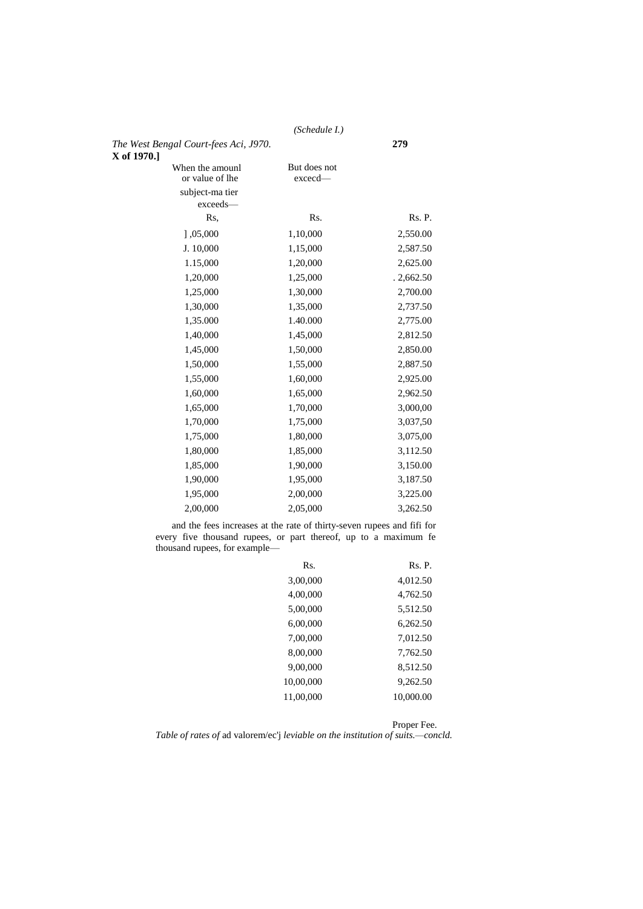# *(Schedule I.)*

| The West Bengal Court-fees Aci, J970.<br>X of 1970.] |                           | 279       |
|------------------------------------------------------|---------------------------|-----------|
| When the amounl<br>or value of lhe                   | But does not<br>$exceed-$ |           |
| subject-ma tier                                      |                           |           |
| exceeds-                                             |                           |           |
| Rs.                                                  | Rs.                       | Rs. P.    |
| ] 0.05,000                                           | 1,10,000                  | 2,550.00  |
| J. 10,000                                            | 1,15,000                  | 2,587.50  |
| 1.15,000                                             | 1,20,000                  | 2,625.00  |
| 1,20,000                                             | 1,25,000                  | .2,662.50 |
| 1,25,000                                             | 1,30,000                  | 2,700.00  |
| 1,30,000                                             | 1,35,000                  | 2,737.50  |
| 1,35.000                                             | 1.40.000                  | 2,775.00  |
| 1,40,000                                             | 1,45,000                  | 2,812.50  |
| 1,45,000                                             | 1,50,000                  | 2,850.00  |
| 1,50,000                                             | 1,55,000                  | 2,887.50  |
| 1,55,000                                             | 1,60,000                  | 2,925.00  |
| 1,60,000                                             | 1,65,000                  | 2,962.50  |
| 1,65,000                                             | 1,70,000                  | 3,000,00  |
| 1,70,000                                             | 1,75,000                  | 3,037,50  |
| 1,75,000                                             | 1,80,000                  | 3,075,00  |
| 1,80,000                                             | 1,85,000                  | 3,112.50  |
| 1,85,000                                             | 1,90,000                  | 3,150.00  |
| 1,90,000                                             | 1,95,000                  | 3,187.50  |
| 1,95,000                                             | 2,00,000                  | 3,225.00  |
| 2,00,000                                             | 2,05,000                  | 3,262.50  |
|                                                      |                           |           |

and the fees increases at the rate of thirty-seven rupees and fifi for every five thousand rupees, or part thereof, up to a maximum fe thousand rupees, for example—

| Rs.       | Rs. P.    |
|-----------|-----------|
| 3,00,000  | 4,012.50  |
| 4,00,000  | 4,762.50  |
| 5,00,000  | 5,512.50  |
| 6,00,000  | 6,262.50  |
| 7,00,000  | 7,012.50  |
| 8,00,000  | 7,762.50  |
| 9,00,000  | 8,512.50  |
| 10,00,000 | 9,262.50  |
| 11.00.000 | 10,000.00 |
|           |           |

*Table of rates of* ad valorem/ec'j *leviable on the institution of suits.—concld.* Proper Fee.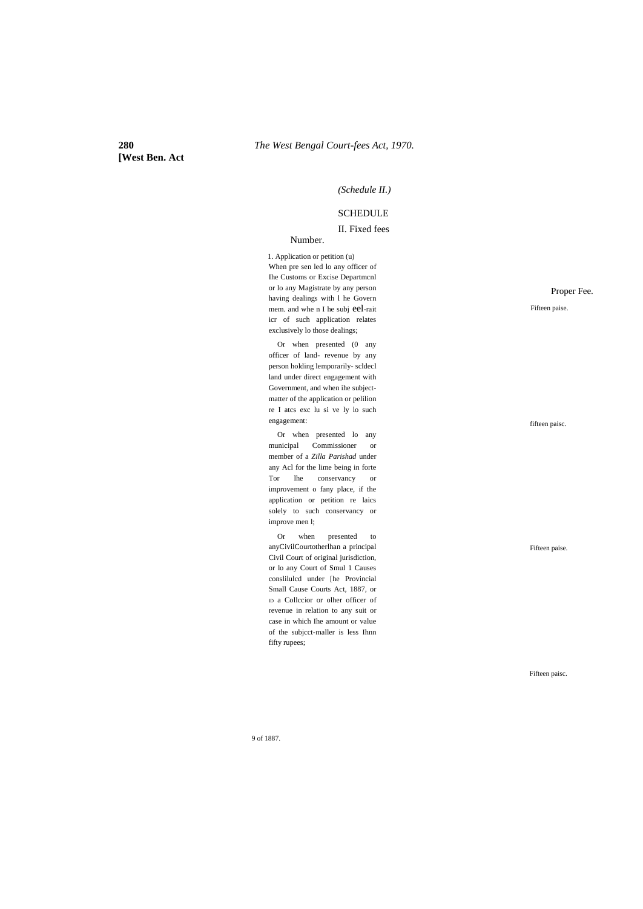# **[West Ben. Act**

#### *(Schedule II.)*

### **SCHEDULE**

### II. Fixed fees

#### Number.

1. Application or petition (u) When pre sen led lo any officer of Ihe Customs or Excise Departmcnl or lo any Magistrate by any person having dealings with l he Govern mem. and whe n I he subj eel-rait icr of such application relates exclusively lo those dealings;

Or when presented (0 any officer of land- revenue by any person holding lemporarily- scldecl land under direct engagement with Government, and when ihe subjectmatter of the application or pelilion re I atcs exc lu si ve ly lo such engagement:

Or when presented lo any municipal Commissioner or member of a *Zilla Parishad* under any Acl for the lime being in forte Tor lhe conservancy or improvement o fany place, if the application or petition re laics solely to such conservancy or improve men l;

Or when presented to anyCivilCourtotherlhan a principal Civil Court of original jurisdiction, or lo any Court of Smul 1 Causes conslilulcd under [he Provincial Small Cause Courts Act, 1887, or ID a Collccior or olher officer of revenue in relation to any suit or case in which Ihe amount or value of the subjcct-maller is less Ihnn fifty rupees;

Proper Fee.

Fifteen paise.

fifteen paisc.

Fifteen paise.

Fifteen paisc.

9 of 1887.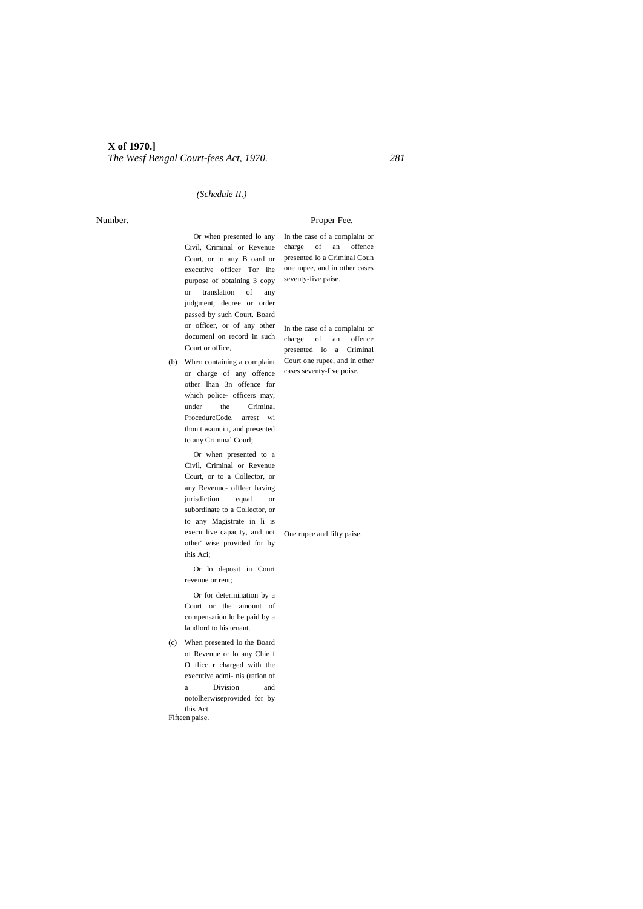### *(Schedule II.)*

#### Number. Proper Fee.

Or when presented lo any In the case of a complaint or purpose of obtaining 3 copy seventy-five paise. or translation of any judgment, decree or order passed by such Court. Board or officer, or of any other In the case of a complaint or documenl on record in such charge of an offence Court or office,

(b) When containing a complaint Court one rupee, and in other or charge of any offence cases seventy-five poise. other lhan 3n offence for which police- officers may, under the Criminal ProcedurcCode, arrest wi thou t wamui t, and presented to any Criminal Courl;

Or when presented to a Civil, Criminal or Revenue Court, or to a Collector, or any Revenuc- offleer having jurisdiction equal or subordinate to a Collector, or to any Magistrate in li is execu live capacity, and not One rupee and fifty paise.other' wise provided for by this Aci;

Or lo deposit in Court revenue or rent;

Or for determination by a Court or the amount of compensation lo be paid by a landlord to his tenant.

(c) When presented lo the Board of Revenue or lo any Chie f O flicc r charged with the executive admi- nis (ration of a Division and notolherwiseprovided for by this Act. Fifteen paise.

Civil, Criminal or Revenue charge of an offence Court, or lo any B oard or presented lo a Criminal Coun executive officer Tor lhe one mpee, and in other cases

presented lo a Criminal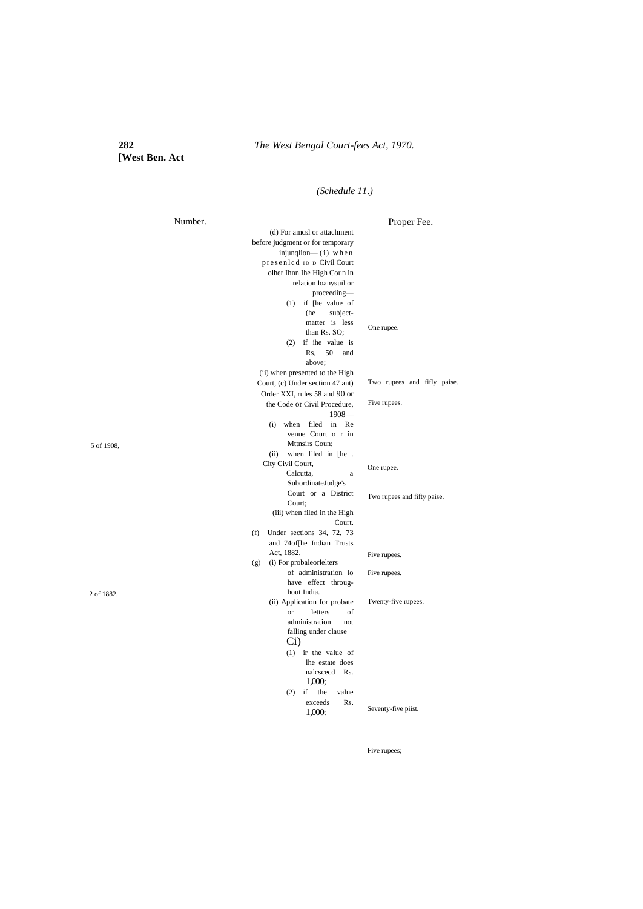# **[West Ben. Act**

# *(Schedule 11.)*

| Proper Fee.<br>(d) For amcsl or attachment                      |  |
|-----------------------------------------------------------------|--|
|                                                                 |  |
| before judgment or for temporary                                |  |
| injunqlion— $(i)$ when                                          |  |
| presenled ID D Civil Court                                      |  |
| olher Ihnn Ihe High Coun in                                     |  |
| relation loanysuil or                                           |  |
| proceeding-                                                     |  |
| $(1)$ if [he value of                                           |  |
| (he<br>subject-                                                 |  |
| matter is less<br>One rupee.                                    |  |
| than Rs. SO;<br>$(2)$ if ihe value is                           |  |
| 50<br>Rs.<br>and                                                |  |
| above;                                                          |  |
| (ii) when presented to the High                                 |  |
| Two rupees and fifly paise.<br>Court, (c) Under section 47 ant) |  |
| Order XXI, rules 58 and 90 or                                   |  |
| Five rupees.<br>the Code or Civil Procedure,                    |  |
| $1908-$                                                         |  |
| (i) when filed in Re                                            |  |
| venue Court o r in                                              |  |
| Mttnsirs Coun:<br>5 of 1908,                                    |  |
| when filed in [he.<br>(ii)                                      |  |
| City Civil Court,<br>One rupee.                                 |  |
| Calcutta,<br>a                                                  |  |
| SubordinateJudge's                                              |  |
| Court or a District<br>Two rupees and fifty paise.<br>Court;    |  |
| (iii) when filed in the High                                    |  |
| Court.                                                          |  |
| Under sections 34, 72, 73<br>(f)                                |  |
| and 74of[he Indian Trusts                                       |  |
| Act, 1882.<br>Five rupees.                                      |  |
| (i) For probaleorlelters<br>(g)                                 |  |
| of administration lo<br>Five rupees.                            |  |
| have effect throug-                                             |  |
| hout India.<br>2 of 1882.                                       |  |
| Twenty-five rupees.<br>(ii) Application for probate             |  |
| letters<br>$\alpha$<br>of                                       |  |
| administration<br>not                                           |  |
| falling under clause                                            |  |
| Ci                                                              |  |
| $(1)$ ir the value of<br>lhe estate does                        |  |
| nalcscecd Rs.                                                   |  |
| 1,000;                                                          |  |
| $(2)$ if<br>the<br>value                                        |  |
| exceeds<br>Rs.                                                  |  |
| Seventy-five piist.<br>1,000:                                   |  |

Five rupees;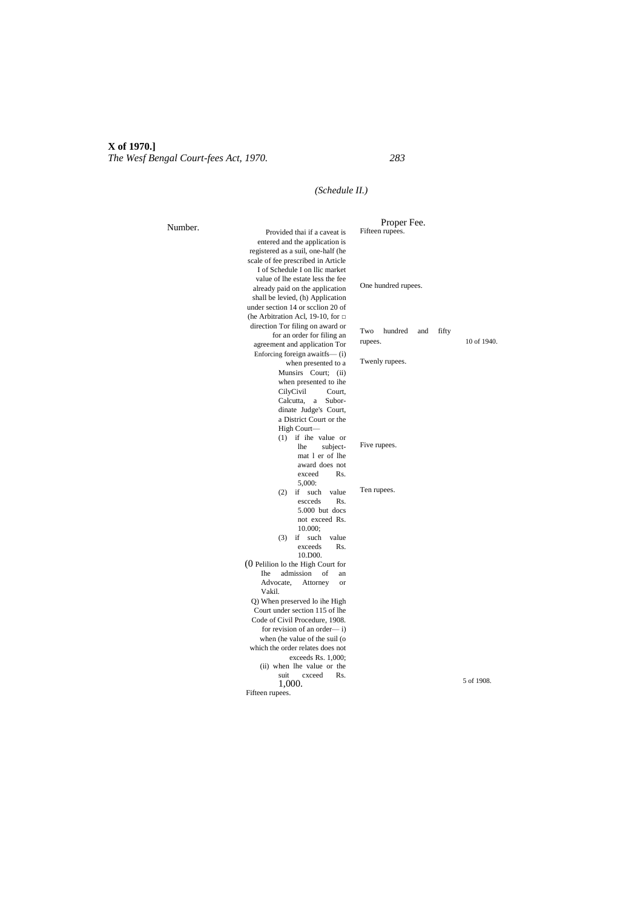# *(Schedule II.)*

|         |                                              | Proper Fee.                    |             |
|---------|----------------------------------------------|--------------------------------|-------------|
| Number. | Provided thai if a caveat is                 | Fifteen rupees.                |             |
|         | entered and the application is               |                                |             |
|         | registered as a suil, one-half (he           |                                |             |
|         | scale of fee prescribed in Article           |                                |             |
|         | I of Schedule I on Ilic market               |                                |             |
|         | value of lhe estate less the fee             |                                |             |
|         | already paid on the application              | One hundred rupees.            |             |
|         | shall be levied, (h) Application             |                                |             |
|         | under section 14 or scclion 20 of            |                                |             |
|         | (he Arbitration Acl, 19-10, for $\Box$       |                                |             |
|         | direction Tor filing on award or             |                                |             |
|         | for an order for filing an                   | Two<br>hundred<br>fifty<br>and |             |
|         | agreement and application Tor                | rupees.                        | 10 of 1940. |
|         | Enforcing foreign awaitfs-(i)                |                                |             |
|         | when presented to a                          | Twenly rupees.                 |             |
|         | Munsirs Court; (ii)                          |                                |             |
|         | when presented to ihe                        |                                |             |
|         | CilyCivil<br>Court.                          |                                |             |
|         | Calcutta,<br>a<br>Subor-                     |                                |             |
|         | dinate Judge's Court,                        |                                |             |
|         | a District Court or the                      |                                |             |
|         | High Court-                                  |                                |             |
|         | $(1)$ if ihe value or                        |                                |             |
|         | subject-<br><b>lhe</b>                       | Five rupees.                   |             |
|         | mat 1 er of lhe                              |                                |             |
|         | award does not                               |                                |             |
|         | exceed<br>Rs.                                |                                |             |
|         | 5,000:                                       | Ten rupees.                    |             |
|         | if<br>such<br>value<br>(2)                   |                                |             |
|         | escceds<br>Rs.                               |                                |             |
|         | 5.000 but docs                               |                                |             |
|         | not exceed Rs.                               |                                |             |
|         | 10.000:                                      |                                |             |
|         | if<br>such<br>value<br>(3)<br>Rs.<br>exceeds |                                |             |
|         | 10.D00.                                      |                                |             |
|         | $(0)$ Pelilion lo the High Court for         |                                |             |
|         | <b>The</b><br>admission<br>of<br>an          |                                |             |
|         | Advocate.<br>Attorney<br>or                  |                                |             |
|         | Vakil.                                       |                                |             |
|         | Q) When preserved lo ihe High                |                                |             |
|         | Court under section 115 of lhe               |                                |             |
|         | Code of Civil Procedure, 1908.               |                                |             |
|         | for revision of an order— $i$ )              |                                |             |
|         | when (he value of the suil (o                |                                |             |
|         | which the order relates does not             |                                |             |
|         | exceeds Rs. 1,000;                           |                                |             |
|         | (ii) when lhe value or the                   |                                |             |
|         | suit<br>cxceed<br>Rs.                        |                                |             |
|         | 1,000.                                       |                                | 5 of 1908.  |
|         | Fifteen rupees.                              |                                |             |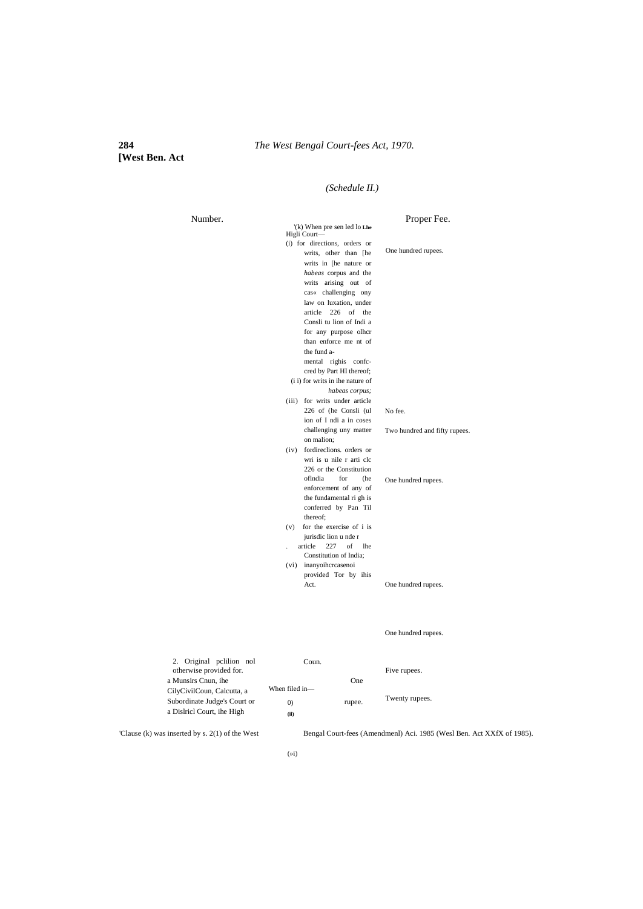# **[West Ben. Act**

# *(Schedule II.)*

| Number. |                                                                                                                | Proper Fee.                   |
|---------|----------------------------------------------------------------------------------------------------------------|-------------------------------|
|         | (k) When pre sen led lo Lhe<br>Higli Court-                                                                    |                               |
|         | (i) for directions, orders or<br>writs, other than [he<br>writs in [he nature or                               | One hundred rupees.           |
|         | habeas corpus and the<br>writs arising out of                                                                  |                               |
|         | cas« challenging ony<br>law on luxation, under                                                                 |                               |
|         | article 226 of the<br>Consli tu lion of Indi a                                                                 |                               |
|         | for any purpose olhcr<br>than enforce me nt of                                                                 |                               |
|         | the fund a-<br>mental righis confc-<br>cred by Part HI thereof;                                                |                               |
|         | (i i) for writs in ihe nature of<br>habeas corpus;                                                             |                               |
|         | (iii) for writs under article<br>226 of (he Consli (ul                                                         | No fee.                       |
|         | ion of I ndi a in coses<br>challenging uny matter                                                              | Two hundred and fifty rupees. |
|         | on malion:<br>fordirections. orders or<br>(iv)<br>wri is u nile r arti clc<br>226 or the Constitution          |                               |
|         | oflndia<br>for<br>(he<br>enforcement of any of<br>the fundamental ri gh is<br>conferred by Pan Til<br>thereof; | One hundred rupees.           |
|         | for the exercise of i is<br>(v)<br>jurisdic lion u nde r                                                       |                               |
|         | 227<br>article<br>of<br><b>lhe</b><br>Constitution of India:                                                   |                               |
|         | inanyoihcrcasenoi<br>(vi)<br>provided Tor by ihis                                                              |                               |
|         | Act.                                                                                                           | One hundred rupees.           |
|         |                                                                                                                |                               |

One hundred rupees.

| 2. Original polition not<br>otherwise provided for. | Coun.             |            | Five rupees.   |
|-----------------------------------------------------|-------------------|------------|----------------|
| a Munsirs Cnun, ihe                                 |                   | <b>One</b> |                |
| CilyCivilCoun, Calcutta, a                          | When filed in-    |            |                |
| Subordinate Judge's Court or                        | $\left( 0\right)$ | rupee.     | Twenty rupees. |
| a Dislricl Court, ihe High                          | (ii)              |            |                |

'Clause (k) was inserted by s. 2(1) of the West Bengal Court-fees (Amendmenl) Aci. 1985 (Wesl Ben. Act XXfX of 1985).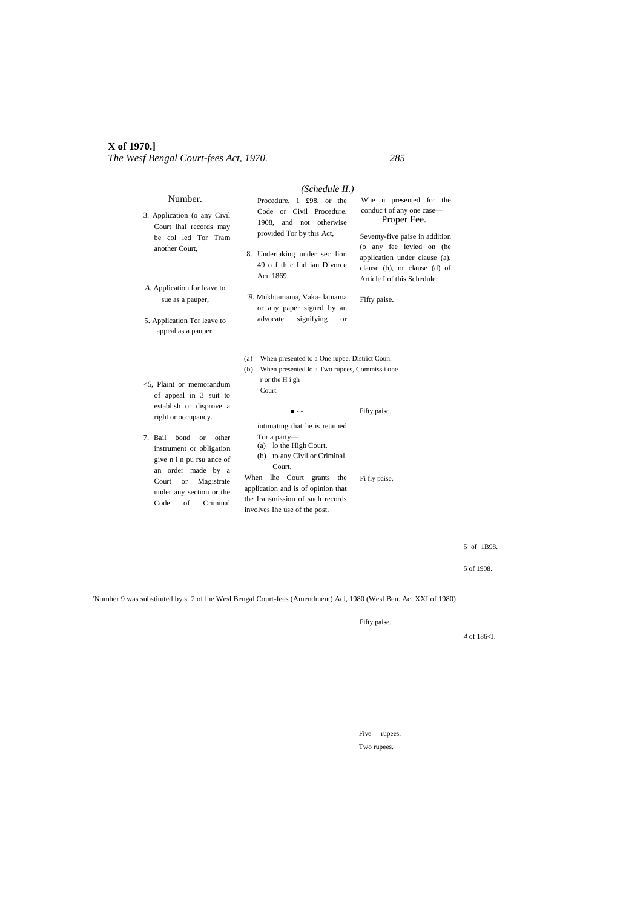|                                                                                                                                                                                                                    | (Schedule II.)                                                                                                                                                                                                                                                   |                                                                                                                             |
|--------------------------------------------------------------------------------------------------------------------------------------------------------------------------------------------------------------------|------------------------------------------------------------------------------------------------------------------------------------------------------------------------------------------------------------------------------------------------------------------|-----------------------------------------------------------------------------------------------------------------------------|
| Number.<br>3. Application (o any Civil                                                                                                                                                                             | Procedure, 1 £98, or the<br>Code or Civil Procedure,<br>1908, and not otherwise                                                                                                                                                                                  | Whe n presented for the<br>conduct of any one case-<br>Proper Fee.                                                          |
| Court lhal records may<br>be colled Tor Tram<br>another Court,                                                                                                                                                     | provided Tor by this Act,<br>8. Undertaking under sec lion<br>49 o f th c Ind ian Divorce<br>Acu 1869.                                                                                                                                                           | Seventy-five paise in addition<br>(o any fee levied on (he<br>application under clause (a),<br>clause (b), or clause (d) of |
| A. Application for leave to<br>sue as a pauper,<br>5. Application Tor leave to<br>appeal as a pauper.                                                                                                              | '9. Mukhtamama, Vaka- latnama<br>or any paper signed by an<br>advocate<br>signifying<br><b>or</b>                                                                                                                                                                | Article I of this Schedule.<br>Fifty paise.                                                                                 |
| $<$ 5. Plaint or memorandum<br>of appeal in 3 suit to                                                                                                                                                              | (a) When presented to a One rupee. District Coun.<br>When presented lo a Two rupees, Commiss i one<br>(b)<br>r or the H i gh<br>Court.                                                                                                                           |                                                                                                                             |
| establish or disprove a<br>right or occupancy.                                                                                                                                                                     | .                                                                                                                                                                                                                                                                | Fifty paisc.                                                                                                                |
| 7. Bail<br>bond<br>other<br><sub>or</sub><br>instrument or obligation<br>give n i n pu rsu ance of<br>an order made by a<br>Court<br>Magistrate<br><b>or</b><br>under any section or the<br>Code<br>of<br>Criminal | intimating that he is retained<br>Tor a party-<br>(a) lo the High Court,<br>(b) to any Civil or Criminal<br>Court.<br>When<br>lhe Court grants<br>the<br>application and is of opinion that<br>the Iransmission of such records<br>involves Ihe use of the post. | Fi fly paise,                                                                                                               |

5 of 1B98.

5 of 1908.

'Number 9 was substituted by s. 2 of lhe Wesl Bengal Court-fees (Amendment) Acl, 1980 (Wesl Ben. Acl XXI of 1980).

Fifty paise.

*4* of 186<J.

Five rupees. Two rupees.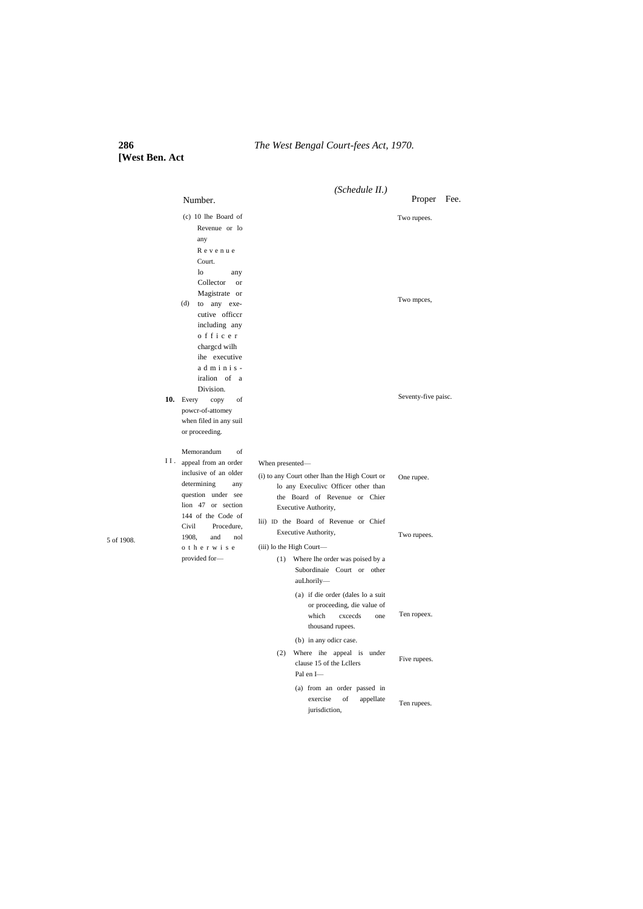# **286** *The West Bengal Court-fees Act, 1970.*

**[West Ben. Act**

5 of 1908.

|     |                                                                                                                                                           | (Schedule II.)                                                                                                                                                                                            |                           |  |
|-----|-----------------------------------------------------------------------------------------------------------------------------------------------------------|-----------------------------------------------------------------------------------------------------------------------------------------------------------------------------------------------------------|---------------------------|--|
|     | Number.                                                                                                                                                   |                                                                                                                                                                                                           | Proper<br>Fee.            |  |
|     | $(c)$ 10 lhe Board of<br>Revenue or lo<br>any<br>Revenue<br>Court.<br>$\log$<br>any<br>Collector<br><b>or</b><br>Magistrate or<br>(d)<br>to any exe-      |                                                                                                                                                                                                           | Two rupees.<br>Two mpces, |  |
|     | cutive officcr<br>including any<br>officer<br>charged wilh<br>ihe executive<br>adminis-<br>iralion of a<br>Division.                                      |                                                                                                                                                                                                           |                           |  |
| 10. | Every<br>of<br>copy<br>powcr-of-attomey<br>when filed in any suil<br>or proceeding.                                                                       |                                                                                                                                                                                                           | Seventy-five paisc.       |  |
| Н.  | Memorandum<br>of<br>appeal from an order<br>inclusive of an older<br>determining<br>any<br>question under see<br>lion 47 or section<br>144 of the Code of | When presented-<br>(i) to any Court other lhan the High Court or<br>lo any Execulive Officer other than<br>the Board of Revenue or Chier<br>Executive Authority,<br>lii) ID the Board of Revenue or Chief | One rupee.                |  |
|     | Civil<br>Procedure,<br>1908.<br>and<br>nol<br>o therwise<br>provided for-                                                                                 | Executive Authority,<br>(iii) lo the High Court-<br>Where lhe order was poised by a<br>(1)<br>Subordinaie Court or other<br>auLhorily-<br>(a) if die order (dales lo a suit                               | Two rupees.               |  |
|     |                                                                                                                                                           | or proceeding, die value of<br>which<br>cxcecds<br>one<br>thousand rupees.<br>(b) in any odicr case.                                                                                                      | Ten ropeex.               |  |
|     |                                                                                                                                                           | Where ihe appeal is under<br>(2)<br>clause 15 of the Lcllers<br>Pal en I-                                                                                                                                 | Five rupees.              |  |
|     |                                                                                                                                                           | (a) from an order passed in<br>exercise<br>of<br>appellate                                                                                                                                                | Ten rupees.               |  |

jurisdiction,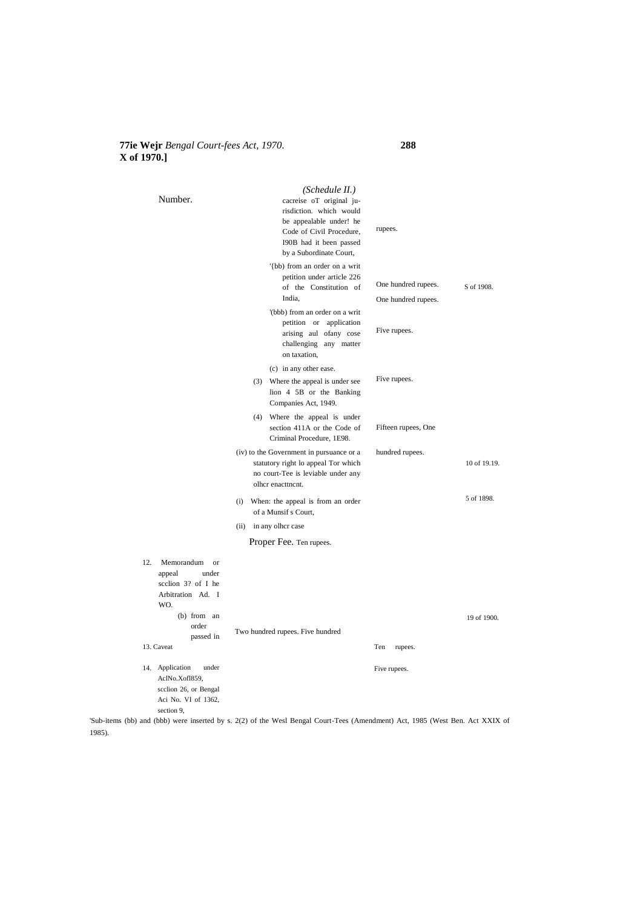### **77ie Wejr** *Bengal Court-fees Act, 1970.* **288 X of 1970.]**

| Number.                                                                                                                                                  | (Schedule II.)<br>cacreise oT original ju-<br>risdiction. which would<br>be appealable under! he<br>Code of Civil Procedure,<br>I90B had it been passed<br>by a Subordinate Court, | rupees.                                    |              |
|----------------------------------------------------------------------------------------------------------------------------------------------------------|------------------------------------------------------------------------------------------------------------------------------------------------------------------------------------|--------------------------------------------|--------------|
|                                                                                                                                                          | '{bb) from an order on a writ<br>petition under article 226<br>of the Constitution of<br>India.                                                                                    | One hundred rupees.<br>One hundred rupees. | S of 1908.   |
|                                                                                                                                                          | '(bbb) from an order on a writ<br>petition or application<br>arising aul ofany cose<br>challenging any matter<br>on taxation,                                                      | Five rupees.                               |              |
|                                                                                                                                                          | (c) in any other ease.<br>(3) Where the appeal is under see<br>lion 4 5B or the Banking<br>Companies Act, 1949.                                                                    | Five rupees.                               |              |
|                                                                                                                                                          | (4) Where the appeal is under<br>section 411A or the Code of<br>Criminal Procedure, 1E98.                                                                                          | Fifteen rupees, One                        |              |
|                                                                                                                                                          | (iv) to the Government in pursuance or a<br>statutory right lo appeal Tor which<br>no court-Tee is leviable under any<br>olher enacttnent.                                         | hundred rupees.                            | 10 of 19.19. |
|                                                                                                                                                          | (i) When: the appeal is from an order<br>of a Munsif s Court,                                                                                                                      |                                            | 5 of 1898.   |
|                                                                                                                                                          | (ii) in any olher case                                                                                                                                                             |                                            |              |
|                                                                                                                                                          | Proper Fee. Ten rupees.                                                                                                                                                            |                                            |              |
| 12.<br>Memorandum<br><b>or</b><br>appeal<br>under<br>scclion 3? of I he<br>Arbitration Ad. I<br>WO.<br>$(b)$ from an<br>order<br>passed in<br>13. Caveat | Two hundred rupees. Five hundred                                                                                                                                                   | Ten<br>rupees.                             | 19 of 1900.  |
|                                                                                                                                                          |                                                                                                                                                                                    |                                            |              |
| 14. Application<br>under<br>AclNo.Xofl859,<br>scclion 26, or Bengal<br>Aci No. VI of 1362,<br>section 9,                                                 |                                                                                                                                                                                    | Five rupees.                               |              |

'Sub-items (bb) and (bbb) were inserted by s. 2(2) of the Wesl Bengal Court-Tees (Amendment) Act, 1985 (West Ben. Act XXIX of 1985).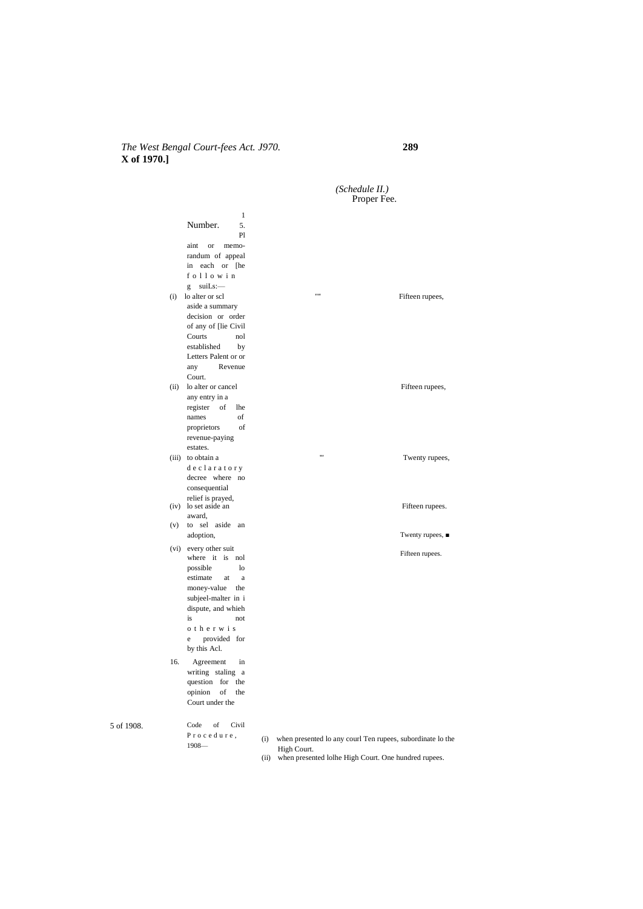# *The West Bengal Court-fees Act. J970.* **289 X of 1970.]**

5 of 1908.

Number. Twenty rupees, ■ Fifteen rupees. Code of Civil P r o c e d u r e , 1908— *(Schedule II.)* Proper Fee. 1 5. Pl aint or memorandum of appeal in each or [he f o l l o w i n  $g$  suiLs: $-$ (i) lo alter or scl  $\qquad \qquad \cdots$  Fifteen rupees, aside a summary decision or order of any of [lie Civil Courts established by Letters Palent or or any Revenue Court. (ii) lo alter or cancel Fifteen rupees, any entry in a register of lhe names of proprietors of revenue-paying estates. (iii) to obtain a  $''$  Twenty rupees, d e c l a r a t o r y decree where no consequential relief is prayed,<br>
(iv) lo set aside an Fifteen rupees.<br>
Fifteen rupees. award, (v) to sel aside an adoption, (vi) every other suit where it is nol possible lo estimate at a money-value the subjeel-malter in i dispute, and whieh is not o t h e r w i s e provided for by this Acl. 16. Agreement in writing staling a question for the opinion of the Court under the (i) when presented lo any courl Ten rupees, subordinate lo the

High Court. (ii) when presented lolhe High Court. One hundred rupees.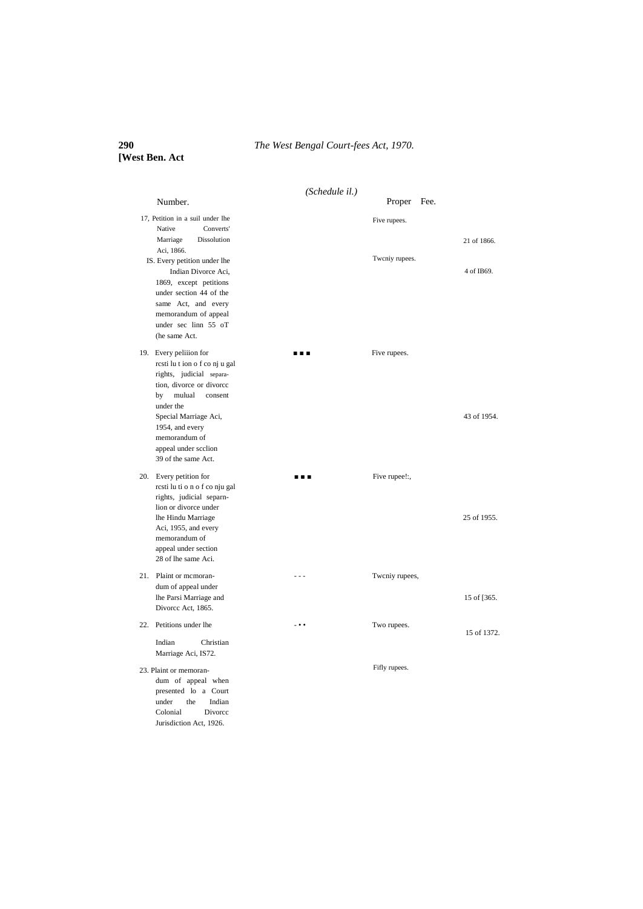# **290** *The West Bengal Court-fees Act, 1970.*

# **[West Ben. Act**

| Number.                                                                                                                                                                                                                                                              | (Schedule il.)           | Fee.<br>Proper |             |
|----------------------------------------------------------------------------------------------------------------------------------------------------------------------------------------------------------------------------------------------------------------------|--------------------------|----------------|-------------|
| 17, Petition in a suil under lhe                                                                                                                                                                                                                                     |                          | Five rupees.   |             |
| Native<br>Converts'<br>Dissolution<br>Marriage<br>Aci, 1866.                                                                                                                                                                                                         |                          |                | 21 of 1866. |
| IS. Every petition under lhe<br>Indian Divorce Aci,<br>1869, except petitions<br>under section 44 of the<br>same Act, and every<br>memorandum of appeal<br>under sec linn 55 oT<br>(he same Act.                                                                     |                          | Twcniy rupees. | 4 of IB69.  |
| 19. Every peliiion for<br>resti lu t ion o f co nj u gal<br>rights, judicial separa-<br>tion, divorce or divorce<br>by<br>mulual<br>consent<br>under the<br>Special Marriage Aci,<br>1954, and every<br>memorandum of<br>appeal under scclion<br>39 of the same Act. | .                        | Five rupees.   | 43 of 1954. |
| 20. Every petition for<br>resti lu ti o n o f co nju gal<br>rights, judicial separn-<br>lion or divorce under<br>lhe Hindu Marriage<br>Aci, 1955, and every<br>memorandum of<br>appeal under section<br>28 of lhe same Aci.                                          | .                        | Five rupee!:,  | 25 of 1955. |
| 21. Plaint or mcmoran-<br>dum of appeal under<br>lhe Parsi Marriage and<br>Divorce Act, 1865.                                                                                                                                                                        | - - -                    | Twcniy rupees, | 15 of [365. |
| 22. Petitions under lhe                                                                                                                                                                                                                                              | $\overline{\phantom{a}}$ | Two rupees.    | 15 of 1372. |
| Indian<br>Christian<br>Marriage Aci, IS72.                                                                                                                                                                                                                           |                          |                |             |
| 23. Plaint or memoran-<br>dum of appeal when<br>presented lo a Court<br>under<br>the<br>Indian<br>Colonial<br>Divorce<br>Jurisdiction Act, 1926.                                                                                                                     |                          | Fifly rupees.  |             |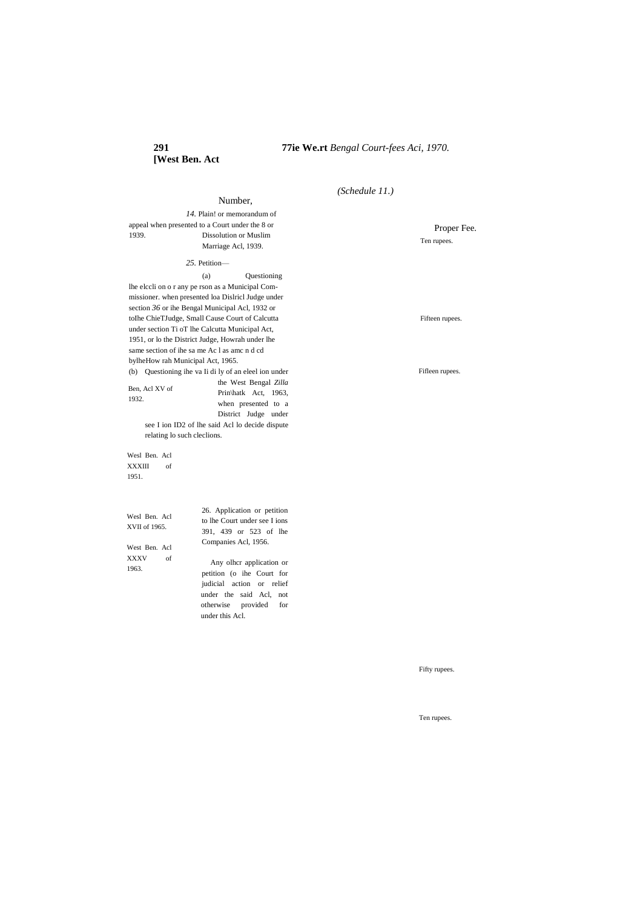# **[West Ben. Act**

Number,

# *(Schedule 11.)*

*14.* Plain! or memorandum of appeal when presented to a Court under the 8 or 1939. Dissolution or Muslim Marriage Acl, 1939.

*25.* Petition—

(a) Questioning

lhe elccli on o r any pe rson as a Municipal Commissioner. when presented loa Dislricl Judge under section *36* or ihe Bengal Municipal Acl, 1932 or toIhe ChieTJudge, Small Cause Court of Calcutta under section Ti oT lhe Calcutta Municipal Act, 1951, or lo the District Judge, Howrah under lhe same section of ihe sa me Ac l as amc n d cd bylheHow rah Municipal Act, 1965. (b) Questioning ihe va Ii di ly of an eleel ion under

Ben, Acl XV of 1932.

Prin\hatk Act, 1963, when presented to a District Judge under see I ion ID2 of lhe said Acl lo decide dispute relating lo such cleclions.

the West Bengal *Zilla* 

Wesl Ben. Acl XXXIII of 1951.

Wesl Ben. Acl XVII of 1965.

West Ben. Acl XXXV of 1963.

26. Application or petition to lhe Court under see I ions 391, 439 or 523 of lhe Companies Acl, 1956.

Any olhcr application or petition (o ihe Court for judicial action or relief under the said Acl, not otherwise provided for under this Acl.

Proper Fee. Ten rupees.

Fifteen rupees.

Fifleen rupees.

Fifty rupees.

Ten rupees.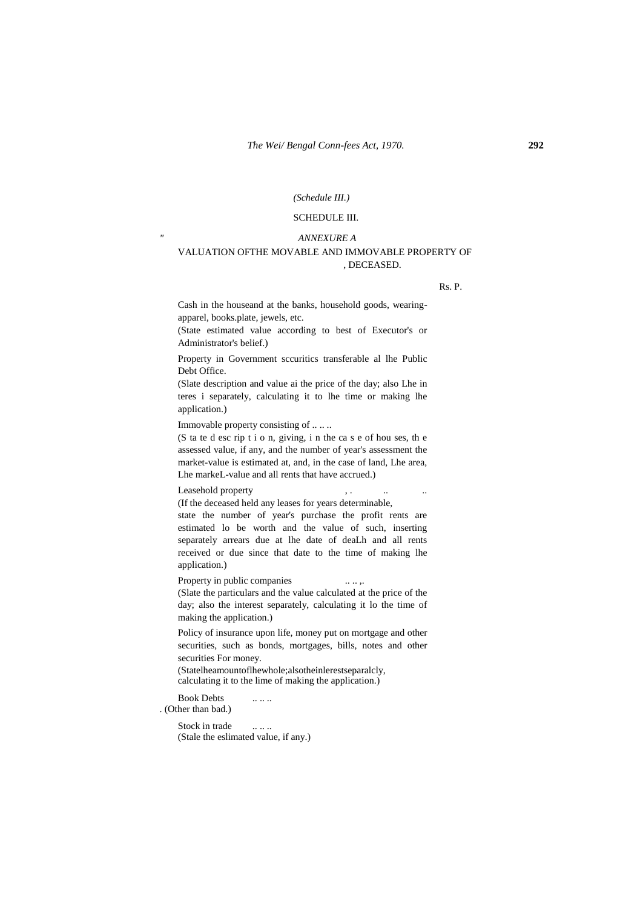#### *(Schedule III.)*

### SCHEDULE III.

#### *" ANNEXURE A*

### VALUATION OFTHE MOVABLE AND IMMOVABLE PROPERTY OF , DECEASED.

Rs. P.

Cash in the houseand at the banks, household goods, wearingapparel, books.plate, jewels, etc.

(State estimated value according to best of Executor's or Administrator's belief.)

Property in Government sccuritics transferable al lhe Public Debt Office.

(Slate description and value ai the price of the day; also Lhe in teres i separately, calculating it to lhe time or making lhe application.)

Immovable property consisting of .. .. ..

(S ta te d esc rip t i o n, giving, i n the ca s e of hou ses, th e assessed value, if any, and the number of year's assessment the market-value is estimated at, and, in the case of land, Lhe area, Lhe markeL-value and all rents that have accrued.)

Leasehold property the set of the set of the set of the set of the set of the set of the set of the set of the set of the set of the set of the set of the set of the set of the set of the set of the set of the set of the s

(If the deceased held any leases for years determinable,

state the number of year's purchase the profit rents are estimated lo be worth and the value of such, inserting separately arrears due at lhe date of deaLh and all rents received or due since that date to the time of making lhe application.)

Property in public companies .....

(Slate the particulars and the value calculated at the price of the day; also the interest separately, calculating it lo the time of making the application.)

Policy of insurance upon life, money put on mortgage and other securities, such as bonds, mortgages, bills, notes and other securities For money.

(Statelheamountoflhewhole;alsotheinlerestseparalcly, calculating it to the lime of making the application.)

Book Debts ...... . (Other than bad.)

> Stock in trade ..... (Stale the eslimated value, if any.)